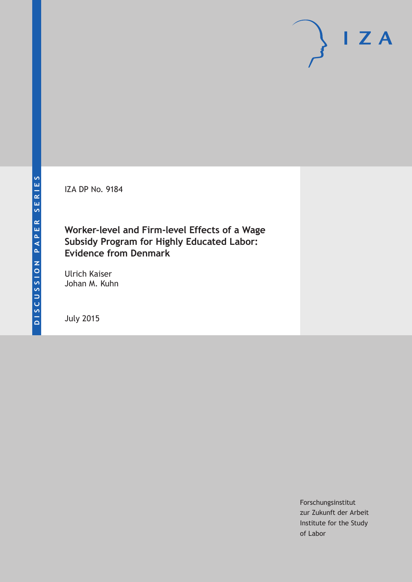IZA DP No. 9184

# **Worker-level and Firm-level Effects of a Wage Subsidy Program for Highly Educated Labor: Evidence from Denmark**

Ulrich Kaiser Johan M. Kuhn

July 2015

Forschungsinstitut zur Zukunft der Arbeit Institute for the Study of Labor

 $I Z A$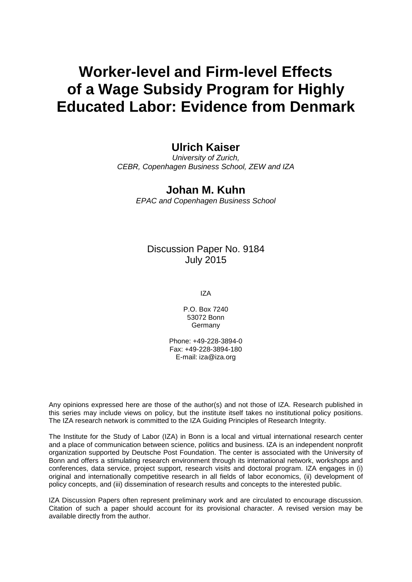# **Worker-level and Firm-level Effects of a Wage Subsidy Program for Highly Educated Labor: Evidence from Denmark**

# **Ulrich Kaiser**

*University of Zurich, CEBR, Copenhagen Business School, ZEW and IZA*

# **Johan M. Kuhn**

*EPAC and Copenhagen Business School*

# Discussion Paper No. 9184 July 2015

IZA

P.O. Box 7240 53072 Bonn Germany

Phone: +49-228-3894-0 Fax: +49-228-3894-180 E-mail: iza@iza.org

Any opinions expressed here are those of the author(s) and not those of IZA. Research published in this series may include views on policy, but the institute itself takes no institutional policy positions. The IZA research network is committed to the IZA Guiding Principles of Research Integrity.

The Institute for the Study of Labor (IZA) in Bonn is a local and virtual international research center and a place of communication between science, politics and business. IZA is an independent nonprofit organization supported by Deutsche Post Foundation. The center is associated with the University of Bonn and offers a stimulating research environment through its international network, workshops and conferences, data service, project support, research visits and doctoral program. IZA engages in (i) original and internationally competitive research in all fields of labor economics, (ii) development of policy concepts, and (iii) dissemination of research results and concepts to the interested public.

<span id="page-1-0"></span>IZA Discussion Papers often represent preliminary work and are circulated to encourage discussion. Citation of such a paper should account for its provisional character. A revised version may be available directly from the author.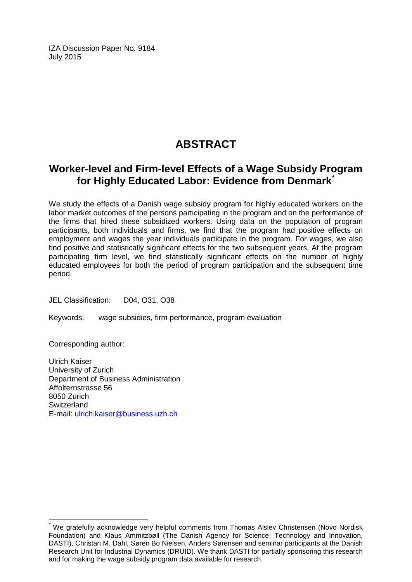IZA Discussion Paper No. 9184 July 2015

# **ABSTRACT**

# **Worker-level and Firm-level Effects of a Wage Subsidy Program for Highly Educated Labor: Evidence from Denmark[\\*](#page-1-0)**

We study the effects of a Danish wage subsidy program for highly educated workers on the labor market outcomes of the persons participating in the program and on the performance of the firms that hired these subsidized workers. Using data on the population of program participants, both individuals and firms, we find that the program had positive effects on employment and wages the year individuals participate in the program. For wages, we also find positive and statistically significant effects for the two subsequent years. At the program participating firm level, we find statistically significant effects on the number of highly educated employees for both the period of program participation and the subsequent time period.

JEL Classification: D04, O31, O38

Keywords: wage subsidies, firm performance, program evaluation

Corresponding author:

Ulrich Kaiser University of Zurich Department of Business Administration Affolternstrasse 56 8050 Zurich **Switzerland** E-mail: [ulrich.kaiser@business.uzh.ch](mailto:ulrich.kaiser@business.uzh.ch)

We gratefully acknowledge very helpful comments from Thomas Alslev Christensen (Novo Nordisk Foundation) and Klaus Ammitzbøll (The Danish Agency for Science, Technology and Innovation, DASTI), Christan M. Dahl, Søren Bo Nielsen, Anders Sørensen and seminar participants at the Danish Research Unit for Industrial Dynamics (DRUID). We thank DASTI for partially sponsoring this research and for making the wage subsidy program data available for research.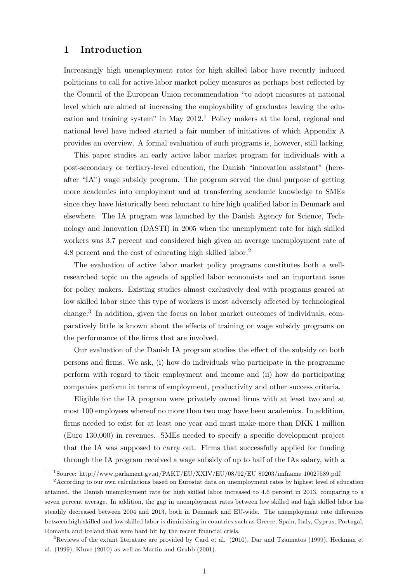### 1 Introduction

Increasingly high unemployment rates for high skilled labor have recently induced politicians to call for active labor market policy measures as perhaps best reflected by the Council of the European Union recommendation "to adopt measures at national level which are aimed at increasing the employability of graduates leaving the education and training system" in May 2012.<sup>1</sup> Policy makers at the local, regional and national level have indeed started a fair number of initiatives of which Appendix A provides an overview. A formal evaluation of such programs is, however, still lacking.

This paper studies an early active labor market program for individuals with a post-secondary or tertiary-level education, the Danish "innovation assistant" (hereafter "IA") wage subsidy program. The program served the dual purpose of getting more academics into employment and at transferring academic knowledge to SMEs since they have historically been reluctant to hire high qualified labor in Denmark and elsewhere. The IA program was launched by the Danish Agency for Science, Technology and Innovation (DASTI) in 2005 when the unemplyment rate for high skilled workers was 3.7 percent and considered high given an average unemployment rate of 4.8 percent and the cost of educating high skilled labor.<sup>2</sup>

The evaluation of active labor market policy programs constitutes both a wellresearched topic on the agenda of applied labor economists and an important issue for policy makers. Existing studies almost exclusively deal with programs geared at low skilled labor since this type of workers is most adversely affected by technological change.<sup>3</sup> In addition, given the focus on labor market outcomes of individuals, comparatively little is known about the effects of training or wage subsidy programs on the performance of the firms that are involved.

Our evaluation of the Danish IA program studies the effect of the subsidy on both persons and firms. We ask, (i) how do individuals who participate in the programme perform with regard to their employment and income and (ii) how do participating companies perform in terms of employment, productivity and other success criteria.

Eligible for the IA program were privately owned firms with at least two and at most 100 employees whereof no more than two may have been academics. In addition, firms needed to exist for at least one year and must make more than DKK 1 million (Euro 130,000) in revenues. SMEs needed to specify a specific development project that the IA was supposed to carry out. Firms that successfully applied for funding through the IA program received a wage subsidy of up to half of the IAs salary, with a

<sup>&</sup>lt;sup>1</sup>Source: http://www.parlament.gv.at/PAKT/EU/XXIV/EU/08/02/EU\_80203/imfname\_10027589.pdf.

<sup>2</sup>According to our own calculations based on Eurostat data on unemployment rates by highest level of education attained, the Danish unemployment rate for high skilled labor increased to 4.6 percent in 2013, comparing to a seven percent average. In addition, the gap in unemployment rates between low skilled and high skilled labor has steadily decreased between 2004 and 2013, both in Denmark and EU-wide. The unemployment rate differences between high skilled and low skilled labor is diminishing in countries such as Greece, Spain, Italy, Cyprus, Portugal, Romania and Iceland that were hard hit by the recent financial crisis.

<sup>3</sup>Reviews of the extant literature are provided by Card et al. (2010), Dar and Tzannatos (1999), Heckman et al. (1999), Kluve (2010) as well as Martin and Grubb (2001).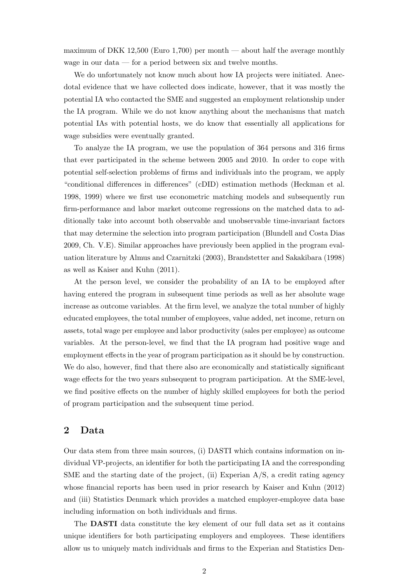maximum of DKK 12,500 (Euro 1,700) per month — about half the average monthly wage in our data — for a period between six and twelve months.

We do unfortunately not know much about how IA projects were initiated. Anecdotal evidence that we have collected does indicate, however, that it was mostly the potential IA who contacted the SME and suggested an employment relationship under the IA program. While we do not know anything about the mechanisms that match potential IAs with potential hosts, we do know that essentially all applications for wage subsidies were eventually granted.

To analyze the IA program, we use the population of 364 persons and 316 firms that ever participated in the scheme between 2005 and 2010. In order to cope with potential self-selection problems of firms and individuals into the program, we apply "conditional differences in differences" (cDID) estimation methods (Heckman et al. 1998, 1999) where we first use econometric matching models and subsequently run firm-performance and labor market outcome regressions on the matched data to additionally take into account both observable and unobservable time-invariant factors that may determine the selection into program participation (Blundell and Costa Dias 2009, Ch. V.E). Similar approaches have previously been applied in the program evaluation literature by Almus and Czarnitzki (2003), Brandstetter and Sakakibara (1998) as well as Kaiser and Kuhn (2011).

At the person level, we consider the probability of an IA to be employed after having entered the program in subsequent time periods as well as her absolute wage increase as outcome variables. At the firm level, we analyze the total number of highly educated employees, the total number of employees, value added, net income, return on assets, total wage per employee and labor productivity (sales per employee) as outcome variables. At the person-level, we find that the IA program had positive wage and employment effects in the year of program participation as it should be by construction. We do also, however, find that there also are economically and statistically significant wage effects for the two years subsequent to program participation. At the SME-level, we find positive effects on the number of highly skilled employees for both the period of program participation and the subsequent time period.

### 2 Data

Our data stem from three main sources, (i) DASTI which contains information on individual VP-projects, an identifier for both the participating IA and the corresponding SME and the starting date of the project, (ii) Experian  $A/S$ , a credit rating agency whose financial reports has been used in prior research by Kaiser and Kuhn (2012) and (iii) Statistics Denmark which provides a matched employer-employee data base including information on both individuals and firms.

The DASTI data constitute the key element of our full data set as it contains unique identifiers for both participating employers and employees. These identifiers allow us to uniquely match individuals and firms to the Experian and Statistics Den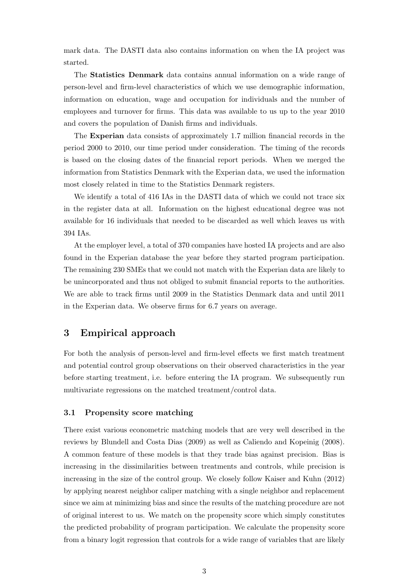mark data. The DASTI data also contains information on when the IA project was started.

The Statistics Denmark data contains annual information on a wide range of person-level and firm-level characteristics of which we use demographic information, information on education, wage and occupation for individuals and the number of employees and turnover for firms. This data was available to us up to the year 2010 and covers the population of Danish firms and individuals.

The Experian data consists of approximately 1.7 million financial records in the period 2000 to 2010, our time period under consideration. The timing of the records is based on the closing dates of the financial report periods. When we merged the information from Statistics Denmark with the Experian data, we used the information most closely related in time to the Statistics Denmark registers.

We identify a total of 416 IAs in the DASTI data of which we could not trace six in the register data at all. Information on the highest educational degree was not available for 16 individuals that needed to be discarded as well which leaves us with 394 IAs.

At the employer level, a total of 370 companies have hosted IA projects and are also found in the Experian database the year before they started program participation. The remaining 230 SMEs that we could not match with the Experian data are likely to be unincorporated and thus not obliged to submit financial reports to the authorities. We are able to track firms until 2009 in the Statistics Denmark data and until 2011 in the Experian data. We observe firms for 6.7 years on average.

### 3 Empirical approach

For both the analysis of person-level and firm-level effects we first match treatment and potential control group observations on their observed characteristics in the year before starting treatment, i.e. before entering the IA program. We subsequently run multivariate regressions on the matched treatment/control data.

#### 3.1 Propensity score matching

There exist various econometric matching models that are very well described in the reviews by Blundell and Costa Dias (2009) as well as Caliendo and Kopeinig (2008). A common feature of these models is that they trade bias against precision. Bias is increasing in the dissimilarities between treatments and controls, while precision is increasing in the size of the control group. We closely follow Kaiser and Kuhn (2012) by applying nearest neighbor caliper matching with a single neighbor and replacement since we aim at minimizing bias and since the results of the matching procedure are not of original interest to us. We match on the propensity score which simply constitutes the predicted probability of program participation. We calculate the propensity score from a binary logit regression that controls for a wide range of variables that are likely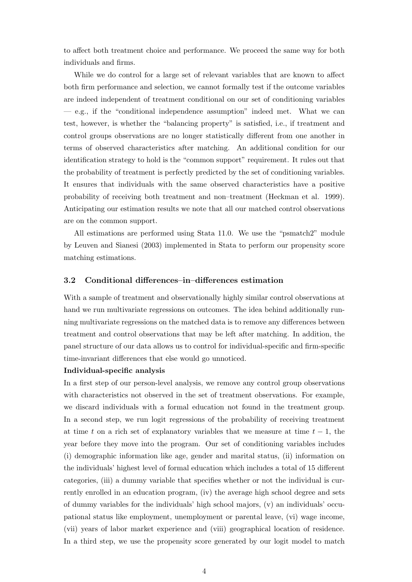to affect both treatment choice and performance. We proceed the same way for both individuals and firms.

While we do control for a large set of relevant variables that are known to affect both firm performance and selection, we cannot formally test if the outcome variables are indeed independent of treatment conditional on our set of conditioning variables  $-$  e.g., if the "conditional independence assumption" indeed met. What we can test, however, is whether the "balancing property" is satisfied, i.e., if treatment and control groups observations are no longer statistically different from one another in terms of observed characteristics after matching. An additional condition for our identification strategy to hold is the "common support" requirement. It rules out that the probability of treatment is perfectly predicted by the set of conditioning variables. It ensures that individuals with the same observed characteristics have a positive probability of receiving both treatment and non–treatment (Heckman et al. 1999). Anticipating our estimation results we note that all our matched control observations are on the common support.

All estimations are performed using Stata 11.0. We use the "psmatch2" module by Leuven and Sianesi (2003) implemented in Stata to perform our propensity score matching estimations.

#### 3.2 Conditional differences–in–differences estimation

With a sample of treatment and observationally highly similar control observations at hand we run multivariate regressions on outcomes. The idea behind additionally running multivariate regressions on the matched data is to remove any differences between treatment and control observations that may be left after matching. In addition, the panel structure of our data allows us to control for individual-specific and firm-specific time-invariant differences that else would go unnoticed.

#### Individual-specific analysis

In a first step of our person-level analysis, we remove any control group observations with characteristics not observed in the set of treatment observations. For example, we discard individuals with a formal education not found in the treatment group. In a second step, we run logit regressions of the probability of receiving treatment at time t on a rich set of explanatory variables that we measure at time  $t - 1$ , the year before they move into the program. Our set of conditioning variables includes (i) demographic information like age, gender and marital status, (ii) information on the individuals' highest level of formal education which includes a total of 15 different categories, (iii) a dummy variable that specifies whether or not the individual is currently enrolled in an education program, (iv) the average high school degree and sets of dummy variables for the individuals' high school majors, (v) an individuals' occupational status like employment, unemployment or parental leave, (vi) wage income, (vii) years of labor market experience and (viii) geographical location of residence. In a third step, we use the propensity score generated by our logit model to match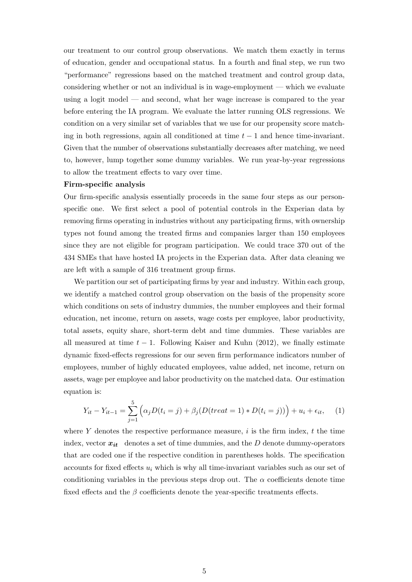our treatment to our control group observations. We match them exactly in terms of education, gender and occupational status. In a fourth and final step, we run two "performance" regressions based on the matched treatment and control group data, considering whether or not an individual is in wage-employment — which we evaluate using a logit model — and second, what her wage increase is compared to the year before entering the IA program. We evaluate the latter running OLS regressions. We condition on a very similar set of variables that we use for our propensity score matching in both regressions, again all conditioned at time  $t - 1$  and hence time-invariant. Given that the number of observations substantially decreases after matching, we need to, however, lump together some dummy variables. We run year-by-year regressions to allow the treatment effects to vary over time.

#### Firm-specific analysis

Our firm-specific analysis essentially proceeds in the same four steps as our personspecific one. We first select a pool of potential controls in the Experian data by removing firms operating in industries without any participating firms, with ownership types not found among the treated firms and companies larger than 150 employees since they are not eligible for program participation. We could trace 370 out of the 434 SMEs that have hosted IA projects in the Experian data. After data cleaning we are left with a sample of 316 treatment group firms.

We partition our set of participating firms by year and industry. Within each group, we identify a matched control group observation on the basis of the propensity score which conditions on sets of industry dummies, the number employees and their formal education, net income, return on assets, wage costs per employee, labor productivity, total assets, equity share, short-term debt and time dummies. These variables are all measured at time  $t - 1$ . Following Kaiser and Kuhn (2012), we finally estimate dynamic fixed-effects regressions for our seven firm performance indicators number of employees, number of highly educated employees, value added, net income, return on assets, wage per employee and labor productivity on the matched data. Our estimation equation is:

$$
Y_{it} - Y_{it-1} = \sum_{j=1}^{5} \left( \alpha_j D(t_i = j) + \beta_j (D(treat = 1) * D(t_i = j)) \right) + u_i + \epsilon_{it}, \quad (1)
$$

where Y denotes the respective performance measure,  $i$  is the firm index,  $t$  the time index, vector  $x_{it}$  denotes a set of time dummies, and the D denote dummy-operators that are coded one if the respective condition in parentheses holds. The specification accounts for fixed effects  $u_i$  which is why all time-invariant variables such as our set of conditioning variables in the previous steps drop out. The  $\alpha$  coefficients denote time fixed effects and the  $\beta$  coefficients denote the year-specific treatments effects.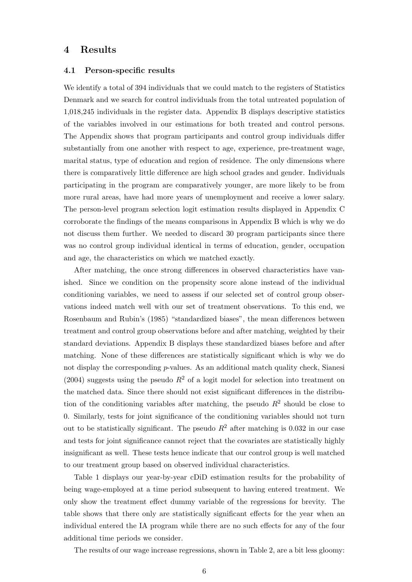# 4 Results

#### 4.1 Person-specific results

We identify a total of 394 individuals that we could match to the registers of Statistics Denmark and we search for control individuals from the total untreated population of 1,018,245 individuals in the register data. Appendix B displays descriptive statistics of the variables involved in our estimations for both treated and control persons. The Appendix shows that program participants and control group individuals differ substantially from one another with respect to age, experience, pre-treatment wage, marital status, type of education and region of residence. The only dimensions where there is comparatively little difference are high school grades and gender. Individuals participating in the program are comparatively younger, are more likely to be from more rural areas, have had more years of unemployment and receive a lower salary. The person-level program selection logit estimation results displayed in Appendix C corroborate the findings of the means comparisons in Appendix B which is why we do not discuss them further. We needed to discard 30 program participants since there was no control group individual identical in terms of education, gender, occupation and age, the characteristics on which we matched exactly.

After matching, the once strong differences in observed characteristics have vanished. Since we condition on the propensity score alone instead of the individual conditioning variables, we need to assess if our selected set of control group observations indeed match well with our set of treatment observations. To this end, we Rosenbaum and Rubin's (1985) "standardized biases", the mean differences between treatment and control group observations before and after matching, weighted by their standard deviations. Appendix B displays these standardized biases before and after matching. None of these differences are statistically significant which is why we do not display the corresponding  $p$ -values. As an additional match quality check, Sianesi (2004) suggests using the pseudo  $R^2$  of a logit model for selection into treatment on the matched data. Since there should not exist significant differences in the distribution of the conditioning variables after matching, the pseudo  $R^2$  should be close to 0. Similarly, tests for joint significance of the conditioning variables should not turn out to be statistically significant. The pseudo  $R^2$  after matching is 0.032 in our case and tests for joint significance cannot reject that the covariates are statistically highly insignificant as well. These tests hence indicate that our control group is well matched to our treatment group based on observed individual characteristics.

Table 1 displays our year-by-year cDiD estimation results for the probability of being wage-employed at a time period subsequent to having entered treatment. We only show the treatment effect dummy variable of the regressions for brevity. The table shows that there only are statistically significant effects for the year when an individual entered the IA program while there are no such effects for any of the four additional time periods we consider.

The results of our wage increase regressions, shown in Table 2, are a bit less gloomy: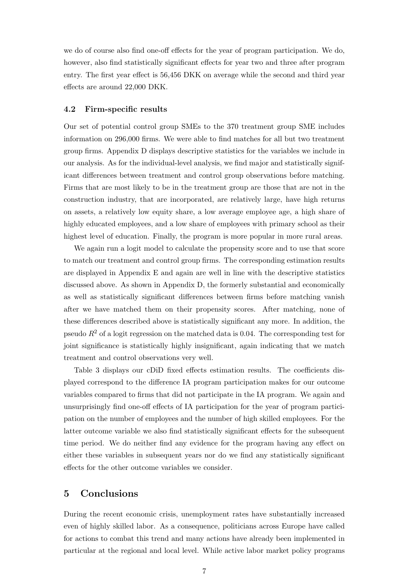we do of course also find one-off effects for the year of program participation. We do, however, also find statistically significant effects for year two and three after program entry. The first year effect is 56,456 DKK on average while the second and third year effects are around 22,000 DKK.

#### 4.2 Firm-specific results

Our set of potential control group SMEs to the 370 treatment group SME includes information on 296,000 firms. We were able to find matches for all but two treatment group firms. Appendix D displays descriptive statistics for the variables we include in our analysis. As for the individual-level analysis, we find major and statistically significant differences between treatment and control group observations before matching. Firms that are most likely to be in the treatment group are those that are not in the construction industry, that are incorporated, are relatively large, have high returns on assets, a relatively low equity share, a low average employee age, a high share of highly educated employees, and a low share of employees with primary school as their highest level of education. Finally, the program is more popular in more rural areas.

We again run a logit model to calculate the propensity score and to use that score to match our treatment and control group firms. The corresponding estimation results are displayed in Appendix E and again are well in line with the descriptive statistics discussed above. As shown in Appendix D, the formerly substantial and economically as well as statistically significant differences between firms before matching vanish after we have matched them on their propensity scores. After matching, none of these differences described above is statistically significant any more. In addition, the pseudo  $R^2$  of a logit regression on the matched data is 0.04. The corresponding test for joint significance is statistically highly insignificant, again indicating that we match treatment and control observations very well.

Table 3 displays our cDiD fixed effects estimation results. The coefficients displayed correspond to the difference IA program participation makes for our outcome variables compared to firms that did not participate in the IA program. We again and unsurprisingly find one-off effects of IA participation for the year of program participation on the number of employees and the number of high skilled employees. For the latter outcome variable we also find statistically significant effects for the subsequent time period. We do neither find any evidence for the program having any effect on either these variables in subsequent years nor do we find any statistically significant effects for the other outcome variables we consider.

### 5 Conclusions

During the recent economic crisis, unemployment rates have substantially increased even of highly skilled labor. As a consequence, politicians across Europe have called for actions to combat this trend and many actions have already been implemented in particular at the regional and local level. While active labor market policy programs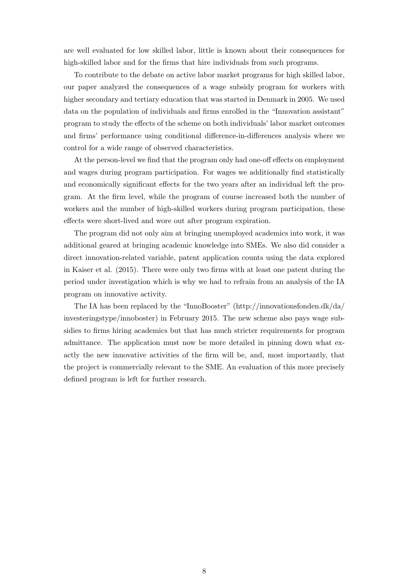are well evaluated for low skilled labor, little is known about their consequences for high-skilled labor and for the firms that hire individuals from such programs.

To contribute to the debate on active labor market programs for high skilled labor, our paper analyzed the consequences of a wage subsidy program for workers with higher secondary and tertiary education that was started in Denmark in 2005. We used data on the population of individuals and firms enrolled in the "Innovation assistant" program to study the effects of the scheme on both individuals' labor market outcomes and firms' performance using conditional difference-in-differences analysis where we control for a wide range of observed characteristics.

At the person-level we find that the program only had one-off effects on employment and wages during program participation. For wages we additionally find statistically and economically significant effects for the two years after an individual left the program. At the firm level, while the program of course increased both the number of workers and the number of high-skilled workers during program participation, these effects were short-lived and wore out after program expiration.

The program did not only aim at bringing unemployed academics into work, it was additional geared at bringing academic knowledge into SMEs. We also did consider a direct innovation-related variable, patent application counts using the data explored in Kaiser et al. (2015). There were only two firms with at least one patent during the period under investigation which is why we had to refrain from an analysis of the IA program on innovative activity.

The IA has been replaced by the "InnoBooster" (http://innovationsfonden.dk/da/ investeringstype/innoboster) in February 2015. The new scheme also pays wage subsidies to firms hiring academics but that has much stricter requirements for program admittance. The application must now be more detailed in pinning down what exactly the new innovative activities of the firm will be, and, most importantly, that the project is commercially relevant to the SME. An evaluation of this more precisely defined program is left for further research.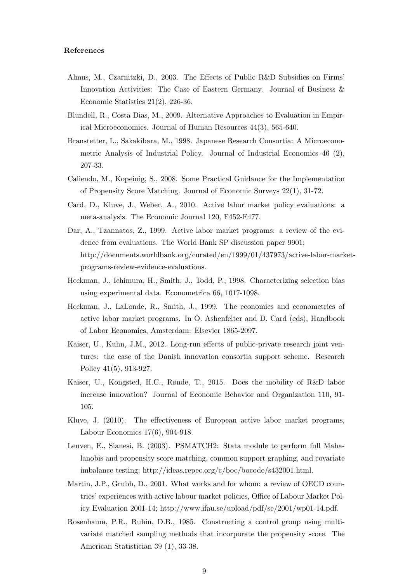#### References

- Almus, M., Czarnitzki, D., 2003. The Effects of Public R&D Subsidies on Firms' Innovation Activities: The Case of Eastern Germany. Journal of Business & Economic Statistics 21(2), 226-36.
- Blundell, R., Costa Dias, M., 2009. Alternative Approaches to Evaluation in Empirical Microeconomics. Journal of Human Resources 44(3), 565-640.
- Branstetter, L., Sakakibara, M., 1998. Japanese Research Consortia: A Microeconometric Analysis of Industrial Policy. Journal of Industrial Economics 46 (2), 207-33.
- Caliendo, M., Kopeinig, S., 2008. Some Practical Guidance for the Implementation of Propensity Score Matching. Journal of Economic Surveys 22(1), 31-72.
- Card, D., Kluve, J., Weber, A., 2010. Active labor market policy evaluations: a meta-analysis. The Economic Journal 120, F452-F477.
- Dar, A., Tzannatos, Z., 1999. Active labor market programs: a review of the evidence from evaluations. The World Bank SP discussion paper 9901; http://documents.worldbank.org/curated/en/1999/01/437973/active-labor-marketprograms-review-evidence-evaluations.
- Heckman, J., Ichimura, H., Smith, J., Todd, P., 1998. Characterizing selection bias using experimental data. Econometrica 66, 1017-1098.
- Heckman, J., LaLonde, R., Smith, J., 1999. The economics and econometrics of active labor market programs. In O. Ashenfelter and D. Card (eds), Handbook of Labor Economics, Amsterdam: Elsevier 1865-2097.
- Kaiser, U., Kuhn, J.M., 2012. Long-run effects of public-private research joint ventures: the case of the Danish innovation consortia support scheme. Research Policy 41(5), 913-927.
- Kaiser, U., Kongsted, H.C., Rønde, T., 2015. Does the mobility of R&D labor increase innovation? Journal of Economic Behavior and Organization 110, 91- 105.
- Kluve, J. (2010). The effectiveness of European active labor market programs, Labour Economics 17(6), 904-918.
- Leuven, E., Sianesi, B. (2003). PSMATCH2: Stata module to perform full Mahalanobis and propensity score matching, common support graphing, and covariate imbalance testing; http://ideas.repec.org/c/boc/bocode/s432001.html.
- Martin, J.P., Grubb, D., 2001. What works and for whom: a review of OECD countries' experiences with active labour market policies, Office of Labour Market Policy Evaluation 2001-14; http://www.ifau.se/upload/pdf/se/2001/wp01-14.pdf.
- Rosenbaum, P.R., Rubin, D.B., 1985. Constructing a control group using multivariate matched sampling methods that incorporate the propensity score. The American Statistician 39 (1), 33-38.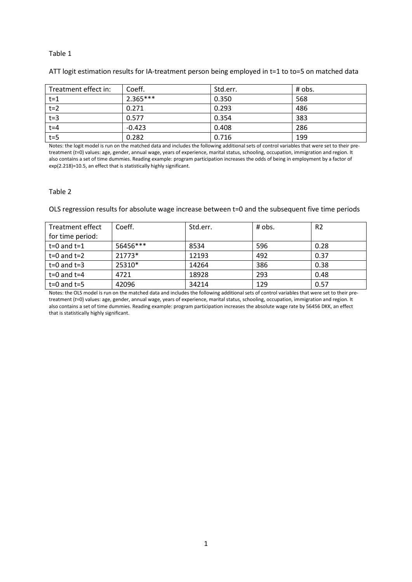#### Table 1

### ATT logit estimation results for IA-treatment person being employed in t=1 to to=5 on matched data

| Treatment effect in: | Coeff.     | Std.err. | $#$ obs. |
|----------------------|------------|----------|----------|
| $t=1$                | $2.365***$ | 0.350    | 568      |
| $t=2$                | 0.271      | 0.293    | 486      |
| $t=3$                | 0.577      | 0.354    | 383      |
| $t = 4$              | $-0.423$   | 0.408    | 286      |
| $t=5$                | 0.282      | 0.716    | 199      |

Notes: the logit model is run on the matched data and includes the following additional sets of control variables that were set to their pretreatment (*t*=0) values: age, gender, annual wage, years of experience, marital status, schooling, occupation, immigration and region. It also contains a set of time dummies. Reading example: program participation increases the odds of being in employment by a factor of exp(2.218)=10.5, an effect that is statistically highly significant.

#### Table 2

OLS regression results for absolute wage increase between t=0 and the subsequent five time periods

| Treatment effect | Coeff.   | Std.err. | # obs. | R <sub>2</sub> |
|------------------|----------|----------|--------|----------------|
| for time period: |          |          |        |                |
| $t=0$ and $t=1$  | 56456*** | 8534     | 596    | 0.28           |
| $t=0$ and $t=2$  | 21773*   | 12193    | 492    | 0.37           |
| $t=0$ and $t=3$  | 25310*   | 14264    | 386    | 0.38           |
| $t=0$ and $t=4$  | 4721     | 18928    | 293    | 0.48           |
| $t=0$ and $t=5$  | 42096    | 34214    | 129    | 0.57           |

Notes: the OLS model is run on the matched data and includes the following additional sets of control variables that were set to their pretreatment (*t*=0) values: age, gender, annual wage, years of experience, marital status, schooling, occupation, immigration and region. It also contains a set of time dummies. Reading example: program participation increases the absolute wage rate by 56456 DKK, an effect that is statistically highly significant.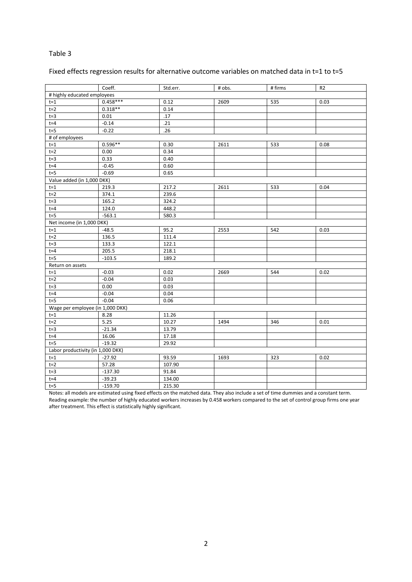### Table 3

### Fixed effects regression results for alternative outcome variables on matched data in t=1 to t=5

|                                   | Coeff.     | Std.err. | # obs. | # firms | R <sub>2</sub> |
|-----------------------------------|------------|----------|--------|---------|----------------|
| # highly educated employees       |            |          |        |         |                |
| $t = 1$                           | $0.458***$ | 0.12     | 2609   | 535     | 0.03           |
| $t=2$                             | $0.318**$  | 0.14     |        |         |                |
| $t=3$                             | 0.01       | .17      |        |         |                |
| $t = 4$                           | $-0.14$    | .21      |        |         |                |
| $t = 5$                           | $-0.22$    | .26      |        |         |                |
| # of employees                    |            |          |        |         |                |
| $t = 1$                           | $0.596**$  | 0.30     | 2611   | 533     | 0.08           |
| $t=2$                             | 0.00       | 0.34     |        |         |                |
| $t=3$                             | 0.33       | 0.40     |        |         |                |
| $t = 4$                           | $-0.45$    | 0.60     |        |         |                |
| $t = 5$                           | $-0.69$    | 0.65     |        |         |                |
| Value added (in 1,000 DKK)        |            |          |        |         |                |
| $t = 1$                           | 219.3      | 217.2    | 2611   | 533     | 0.04           |
| $t=2$                             | 374.1      | 239.6    |        |         |                |
| $t=3$                             | 165.2      | 324.2    |        |         |                |
| $t = 4$                           | 124.0      | 448.2    |        |         |                |
| $t = 5$                           | $-563.1$   | 580.3    |        |         |                |
| Net income (in 1,000 DKK)         |            |          |        |         |                |
| $t = 1$                           | $-48.5$    | 95.2     | 2553   | 542     | 0.03           |
| $t=2$                             | 136.5      | 111.4    |        |         |                |
| $t = 3$                           | 133.3      | 122.1    |        |         |                |
| $t = 4$                           | 205.5      | 218.1    |        |         |                |
| $t = 5$                           | $-103.5$   | 189.2    |        |         |                |
| Return on assets                  |            |          |        |         |                |
| $t = 1$                           | $-0.03$    | 0.02     | 2669   | 544     | 0.02           |
| $t=2$                             | $-0.04$    | 0.03     |        |         |                |
| $t = 3$                           | 0.00       | 0.03     |        |         |                |
| $t = 4$                           | $-0.04$    | 0.04     |        |         |                |
| $t = 5$                           | $-0.04$    | 0.06     |        |         |                |
| Wage per employee (in 1,000 DKK)  |            |          |        |         |                |
| $t = 1$                           | 8.28       | 11.26    |        |         |                |
| $t=2$                             | 5.25       | 10.27    | 1494   | 346     | 0.01           |
| $t=3$                             | $-21.34$   | 13.79    |        |         |                |
| $t = 4$                           | 16.06      | 17.18    |        |         |                |
| $t=5$                             | $-19.32$   | 29.92    |        |         |                |
| Labor productivity (in 1,000 DKK) |            |          |        |         |                |
| $t = 1$                           | $-27.92$   | 93.59    | 1693   | 323     | 0.02           |
| $t=2$                             | 57.28      | 107.90   |        |         |                |
| $t = 3$                           | $-137.30$  | 91.84    |        |         |                |
| $t = 4$                           | $-39.23$   | 134.00   |        |         |                |
| $t=5$                             | $-159.70$  | 215.30   |        |         |                |

Notes: all models are estimated using fixed effects on the matched data. They also include a set of time dummies and a constant term. Reading example: the number of highly educated workers increases by 0.458 workers compared to the set of control group firms one year after treatment. This effect is statistically highly significant.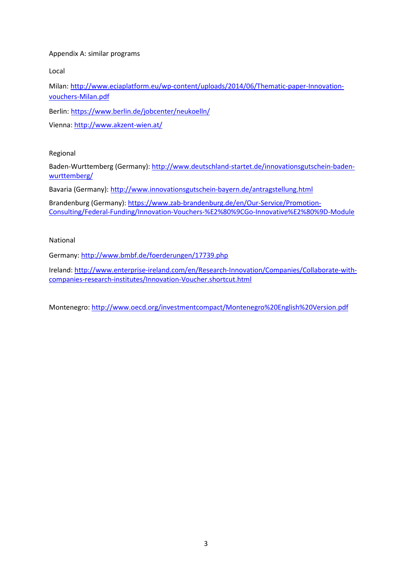### Appendix A: similar programs

Local

Milan: [http://www.eciaplatform.eu/wp-content/uploads/2014/06/Thematic-paper-Innovation](http://www.eciaplatform.eu/wp-content/uploads/2014/06/Thematic-paper-Innovation-vouchers-Milan.pdf)[vouchers-Milan.pdf](http://www.eciaplatform.eu/wp-content/uploads/2014/06/Thematic-paper-Innovation-vouchers-Milan.pdf)

Berlin:<https://www.berlin.de/jobcenter/neukoelln/>

Vienna:<http://www.akzent-wien.at/>

Regional

Baden-Wurttemberg (Germany)[: http://www.deutschland-startet.de/innovationsgutschein-baden](http://www.deutschland-startet.de/innovationsgutschein-baden-wurttemberg/)[wurttemberg/](http://www.deutschland-startet.de/innovationsgutschein-baden-wurttemberg/)

Bavaria (Germany)[: http://www.innovationsgutschein-bayern.de/antragstellung.html](http://www.innovationsgutschein-bayern.de/antragstellung.html)

Brandenburg (Germany): [https://www.zab-brandenburg.de/en/Our-Service/Promotion-](https://www.zab-brandenburg.de/en/Our-Service/Promotion-Consulting/Federal-Funding/Innovation-Vouchers-%E2%80%9CGo-Innovative%E2%80%9D-Module)[Consulting/Federal-Funding/Innovation-Vouchers-%E2%80%9CGo-Innovative%E2%80%9D-Module](https://www.zab-brandenburg.de/en/Our-Service/Promotion-Consulting/Federal-Funding/Innovation-Vouchers-%E2%80%9CGo-Innovative%E2%80%9D-Module)

National

Germany:<http://www.bmbf.de/foerderungen/17739.php>

Ireland[: http://www.enterprise-ireland.com/en/Research-Innovation/Companies/Collaborate-with](http://www.enterprise-ireland.com/en/Research-Innovation/Companies/Collaborate-with-companies-research-institutes/Innovation-Voucher.shortcut.html)[companies-research-institutes/Innovation-Voucher.shortcut.html](http://www.enterprise-ireland.com/en/Research-Innovation/Companies/Collaborate-with-companies-research-institutes/Innovation-Voucher.shortcut.html)

Montenegro[: http://www.oecd.org/investmentcompact/Montenegro%20English%20Version.pdf](http://www.oecd.org/investmentcompact/Montenegro%20English%20Version.pdf)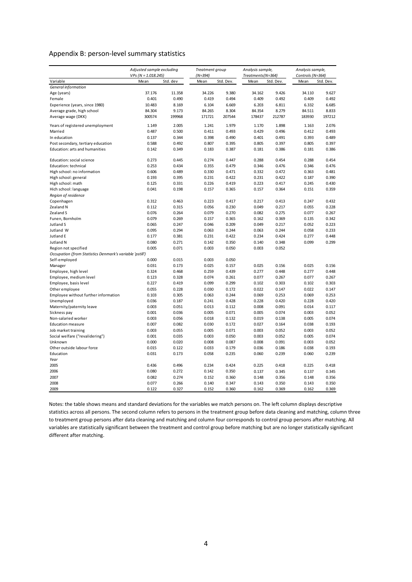#### Appendix B: person-level summary statistics

| $VPs (N = 1.018.245)$<br>Treatments(N=364)<br>Std. dev<br>Std. Dev.<br>Std. Dev.<br>Variable<br>Mean<br>Mean<br>Mean<br>Mean<br>Std. Dev.<br>General information<br>37.176<br>11.358<br>34.226<br>9.380<br>34.162<br>9.426<br>34.110<br>Age (years)<br>9.627<br>0.401<br>0.494<br>0.409<br>0.492<br>0.409<br>0.492<br>Female<br>0.490<br>0.419<br>10.483<br>6.104<br>6.685<br>Experience (years, since 1980)<br>8.169<br>6.669<br>6.203<br>6.811<br>6.332<br>Average grade, high school<br>84.265<br>8.304<br>84.354<br>84.511<br>8.833<br>84.304<br>9.173<br>8.279<br>300574<br>199968<br>178437<br>212787<br>183930<br>197212<br>Average wage (DKK)<br>171721<br>207544<br>Years of registered unemployment<br>1.979<br>2.076<br>1.149<br>2.005<br>1.241<br>1.170<br>1.898<br>1.163<br>0.493<br>0.487<br>0.493<br>0.429<br>0.496<br>0.412<br>Married<br>0.500<br>0.411<br>In education<br>0.137<br>0.344<br>0.398<br>0.490<br>0.401<br>0.491<br>0.393<br>0.489<br>0.588<br>0.492<br>0.807<br>0.395<br>0.805<br>0.397<br>0.805<br>0.397<br>Post secondary, tertiary education<br>Education: arts and humanities<br>0.142<br>0.349<br>0.183<br>0.387<br>0.181<br>0.386<br>0.181<br>0.386<br>0.288<br>Education: social science<br>0.273<br>0.445<br>0.274<br>0.447<br>0.454<br>0.288<br>0.454<br>0.253<br>0.355<br>0.479<br>0.346<br>0.476<br>Education: technical<br>0.434<br>0.346<br>0.476<br>0.471<br>High school: no information<br>0.606<br>0.489<br>0.330<br>0.332<br>0.472<br>0.363<br>0.481<br>0.193<br>0.422<br>0.231<br>0.422<br>0.390<br>High school: general<br>0.395<br>0.231<br>0.187<br>0.226<br>0.419<br>0.417<br>0.430<br>High school: math<br>0.125<br>0.331<br>0.223<br>0.245<br>0.041<br>0.359<br>Hich school: language<br>0.198<br>0.157<br>0.365<br>0.157<br>0.364<br>0.151<br>Region of residence<br>0.223<br>0.417<br>0.413<br>0.247<br>0.432<br>Copenhagen<br>0.312<br>0.463<br>0.217<br>0.230<br>0.049<br>0.055<br>0.228<br>Zealand N<br>0.112<br>0.315<br>0.056<br>0.217<br>0.076<br>0.264<br>0.079<br>0.270<br>0.082<br>0.275<br>0.077<br>0.267<br>Zealand S<br>0.079<br>0.365<br>0.369<br>0.135<br>0.342<br>Funen, Bornholm<br>0.269<br>0.157<br>0.162<br>Jutland S<br>0.065<br>0.247<br>0.046<br>0.209<br>0.049<br>0.217<br>0.052<br>0.223<br>Jutland W<br>0.095<br>0.294<br>0.063<br>0.244<br>0.063<br>0.244<br>0.058<br>0.233<br>0.448<br>0.381<br>0.231<br>0.422<br>0.234<br>0.424<br>0.277<br>Jutland E<br>0.177<br>0.099<br>0.299<br>Jutland N<br>0.080<br>0.271<br>0.142<br>0.350<br>0.140<br>0.348<br>Region not specified<br>0.005<br>0.071<br>0.003<br>0.050<br>0.003<br>0.052<br>Occupation (from Statistics Denmark's variable 'pstill')<br>Self-employed<br>0.000<br>0.015<br>0.003<br>0.050<br>0.031<br>0.173<br>0.025<br>0.157<br>0.025<br>0.156<br>0.025<br>0.156<br>Manager<br>0.448<br>Employee, high level<br>0.324<br>0.468<br>0.259<br>0.439<br>0.277<br>0.448<br>0.277<br>0.077<br>0.267<br>Employee, medium level<br>0.123<br>0.328<br>0.074<br>0.261<br>0.077<br>0.267<br>0.299<br>0.303<br>Employee, basis level<br>0.227<br>0.419<br>0.099<br>0.102<br>0.303<br>0.102<br>0.055<br>0.147<br>Other employee<br>0.228<br>0.030<br>0.172<br>0.022<br>0.147<br>0.022<br>0.069<br>0.253<br>Employee without further information<br>0.103<br>0.305<br>0.063<br>0.244<br>0.069<br>0.253<br>0.420<br>Unemployed<br>0.036<br>0.187<br>0.241<br>0.428<br>0.228<br>0.420<br>0.228<br>0.013<br>0.014<br>0.117<br>Maternity/paternity leave<br>0.003<br>0.051<br>0.112<br>0.008<br>0.091<br>0.071<br>0.052<br>Sickness pay<br>0.001<br>0.036<br>0.005<br>0.005<br>0.074<br>0.003<br>0.074<br>Non-salaried worker<br>0.003<br>0.056<br>0.018<br>0.132<br>0.019<br>0.138<br>0.005<br>0.030<br>0.038<br>0.193<br><b>Education measure</b><br>0.007<br>0.082<br>0.172<br>0.027<br>0.164<br>0.071<br>0.003<br>0.052<br>Job market training<br>0.003<br>0.055<br>0.005<br>0.003<br>0.052<br>0.001<br>0.050<br>0.005<br>0.074<br>Social welfare ("revalidering")<br>0.035<br>0.003<br>0.003<br>0.052<br>0.000<br>0.020<br>0.008<br>0.087<br>0.091<br>0.003<br>0.052<br>Unknown<br>0.008<br>Other outside labour force<br>0.015<br>0.033<br>0.179<br>0.038<br>0.193<br>0.122<br>0.036<br>0.186<br>0.031<br>0.058<br>0.235<br>0.060<br>0.060<br>0.239<br>Education<br>0.173<br>0.239<br>Year | Adjusted sample excluding |  | Treatment group |  | Analysis sample, | Analysis sample, |  |
|-------------------------------------------------------------------------------------------------------------------------------------------------------------------------------------------------------------------------------------------------------------------------------------------------------------------------------------------------------------------------------------------------------------------------------------------------------------------------------------------------------------------------------------------------------------------------------------------------------------------------------------------------------------------------------------------------------------------------------------------------------------------------------------------------------------------------------------------------------------------------------------------------------------------------------------------------------------------------------------------------------------------------------------------------------------------------------------------------------------------------------------------------------------------------------------------------------------------------------------------------------------------------------------------------------------------------------------------------------------------------------------------------------------------------------------------------------------------------------------------------------------------------------------------------------------------------------------------------------------------------------------------------------------------------------------------------------------------------------------------------------------------------------------------------------------------------------------------------------------------------------------------------------------------------------------------------------------------------------------------------------------------------------------------------------------------------------------------------------------------------------------------------------------------------------------------------------------------------------------------------------------------------------------------------------------------------------------------------------------------------------------------------------------------------------------------------------------------------------------------------------------------------------------------------------------------------------------------------------------------------------------------------------------------------------------------------------------------------------------------------------------------------------------------------------------------------------------------------------------------------------------------------------------------------------------------------------------------------------------------------------------------------------------------------------------------------------------------------------------------------------------------------------------------------------------------------------------------------------------------------------------------------------------------------------------------------------------------------------------------------------------------------------------------------------------------------------------------------------------------------------------------------------------------------------------------------------------------------------------------------------------------------------------------------------------------------------------------------------------------------------------------------------------------------------------------------------------------------------------------------------------------------------------------------------------------------------------------------------------------------------------------------------------------------------------------------------------------------------------------------------------------------------------------------------------------------------------------------------------------------------------------------------------------------------------------------------|---------------------------|--|-----------------|--|------------------|------------------|--|
|                                                                                                                                                                                                                                                                                                                                                                                                                                                                                                                                                                                                                                                                                                                                                                                                                                                                                                                                                                                                                                                                                                                                                                                                                                                                                                                                                                                                                                                                                                                                                                                                                                                                                                                                                                                                                                                                                                                                                                                                                                                                                                                                                                                                                                                                                                                                                                                                                                                                                                                                                                                                                                                                                                                                                                                                                                                                                                                                                                                                                                                                                                                                                                                                                                                                                                                                                                                                                                                                                                                                                                                                                                                                                                                                                                                                                                                                                                                                                                                                                                                                                                                                                                                                                                                                                                                               |                           |  | $(N=394)$       |  |                  | Controls (N=364) |  |
|                                                                                                                                                                                                                                                                                                                                                                                                                                                                                                                                                                                                                                                                                                                                                                                                                                                                                                                                                                                                                                                                                                                                                                                                                                                                                                                                                                                                                                                                                                                                                                                                                                                                                                                                                                                                                                                                                                                                                                                                                                                                                                                                                                                                                                                                                                                                                                                                                                                                                                                                                                                                                                                                                                                                                                                                                                                                                                                                                                                                                                                                                                                                                                                                                                                                                                                                                                                                                                                                                                                                                                                                                                                                                                                                                                                                                                                                                                                                                                                                                                                                                                                                                                                                                                                                                                                               |                           |  |                 |  |                  |                  |  |
|                                                                                                                                                                                                                                                                                                                                                                                                                                                                                                                                                                                                                                                                                                                                                                                                                                                                                                                                                                                                                                                                                                                                                                                                                                                                                                                                                                                                                                                                                                                                                                                                                                                                                                                                                                                                                                                                                                                                                                                                                                                                                                                                                                                                                                                                                                                                                                                                                                                                                                                                                                                                                                                                                                                                                                                                                                                                                                                                                                                                                                                                                                                                                                                                                                                                                                                                                                                                                                                                                                                                                                                                                                                                                                                                                                                                                                                                                                                                                                                                                                                                                                                                                                                                                                                                                                                               |                           |  |                 |  |                  |                  |  |
|                                                                                                                                                                                                                                                                                                                                                                                                                                                                                                                                                                                                                                                                                                                                                                                                                                                                                                                                                                                                                                                                                                                                                                                                                                                                                                                                                                                                                                                                                                                                                                                                                                                                                                                                                                                                                                                                                                                                                                                                                                                                                                                                                                                                                                                                                                                                                                                                                                                                                                                                                                                                                                                                                                                                                                                                                                                                                                                                                                                                                                                                                                                                                                                                                                                                                                                                                                                                                                                                                                                                                                                                                                                                                                                                                                                                                                                                                                                                                                                                                                                                                                                                                                                                                                                                                                                               |                           |  |                 |  |                  |                  |  |
|                                                                                                                                                                                                                                                                                                                                                                                                                                                                                                                                                                                                                                                                                                                                                                                                                                                                                                                                                                                                                                                                                                                                                                                                                                                                                                                                                                                                                                                                                                                                                                                                                                                                                                                                                                                                                                                                                                                                                                                                                                                                                                                                                                                                                                                                                                                                                                                                                                                                                                                                                                                                                                                                                                                                                                                                                                                                                                                                                                                                                                                                                                                                                                                                                                                                                                                                                                                                                                                                                                                                                                                                                                                                                                                                                                                                                                                                                                                                                                                                                                                                                                                                                                                                                                                                                                                               |                           |  |                 |  |                  |                  |  |
|                                                                                                                                                                                                                                                                                                                                                                                                                                                                                                                                                                                                                                                                                                                                                                                                                                                                                                                                                                                                                                                                                                                                                                                                                                                                                                                                                                                                                                                                                                                                                                                                                                                                                                                                                                                                                                                                                                                                                                                                                                                                                                                                                                                                                                                                                                                                                                                                                                                                                                                                                                                                                                                                                                                                                                                                                                                                                                                                                                                                                                                                                                                                                                                                                                                                                                                                                                                                                                                                                                                                                                                                                                                                                                                                                                                                                                                                                                                                                                                                                                                                                                                                                                                                                                                                                                                               |                           |  |                 |  |                  |                  |  |
|                                                                                                                                                                                                                                                                                                                                                                                                                                                                                                                                                                                                                                                                                                                                                                                                                                                                                                                                                                                                                                                                                                                                                                                                                                                                                                                                                                                                                                                                                                                                                                                                                                                                                                                                                                                                                                                                                                                                                                                                                                                                                                                                                                                                                                                                                                                                                                                                                                                                                                                                                                                                                                                                                                                                                                                                                                                                                                                                                                                                                                                                                                                                                                                                                                                                                                                                                                                                                                                                                                                                                                                                                                                                                                                                                                                                                                                                                                                                                                                                                                                                                                                                                                                                                                                                                                                               |                           |  |                 |  |                  |                  |  |
|                                                                                                                                                                                                                                                                                                                                                                                                                                                                                                                                                                                                                                                                                                                                                                                                                                                                                                                                                                                                                                                                                                                                                                                                                                                                                                                                                                                                                                                                                                                                                                                                                                                                                                                                                                                                                                                                                                                                                                                                                                                                                                                                                                                                                                                                                                                                                                                                                                                                                                                                                                                                                                                                                                                                                                                                                                                                                                                                                                                                                                                                                                                                                                                                                                                                                                                                                                                                                                                                                                                                                                                                                                                                                                                                                                                                                                                                                                                                                                                                                                                                                                                                                                                                                                                                                                                               |                           |  |                 |  |                  |                  |  |
|                                                                                                                                                                                                                                                                                                                                                                                                                                                                                                                                                                                                                                                                                                                                                                                                                                                                                                                                                                                                                                                                                                                                                                                                                                                                                                                                                                                                                                                                                                                                                                                                                                                                                                                                                                                                                                                                                                                                                                                                                                                                                                                                                                                                                                                                                                                                                                                                                                                                                                                                                                                                                                                                                                                                                                                                                                                                                                                                                                                                                                                                                                                                                                                                                                                                                                                                                                                                                                                                                                                                                                                                                                                                                                                                                                                                                                                                                                                                                                                                                                                                                                                                                                                                                                                                                                                               |                           |  |                 |  |                  |                  |  |
|                                                                                                                                                                                                                                                                                                                                                                                                                                                                                                                                                                                                                                                                                                                                                                                                                                                                                                                                                                                                                                                                                                                                                                                                                                                                                                                                                                                                                                                                                                                                                                                                                                                                                                                                                                                                                                                                                                                                                                                                                                                                                                                                                                                                                                                                                                                                                                                                                                                                                                                                                                                                                                                                                                                                                                                                                                                                                                                                                                                                                                                                                                                                                                                                                                                                                                                                                                                                                                                                                                                                                                                                                                                                                                                                                                                                                                                                                                                                                                                                                                                                                                                                                                                                                                                                                                                               |                           |  |                 |  |                  |                  |  |
|                                                                                                                                                                                                                                                                                                                                                                                                                                                                                                                                                                                                                                                                                                                                                                                                                                                                                                                                                                                                                                                                                                                                                                                                                                                                                                                                                                                                                                                                                                                                                                                                                                                                                                                                                                                                                                                                                                                                                                                                                                                                                                                                                                                                                                                                                                                                                                                                                                                                                                                                                                                                                                                                                                                                                                                                                                                                                                                                                                                                                                                                                                                                                                                                                                                                                                                                                                                                                                                                                                                                                                                                                                                                                                                                                                                                                                                                                                                                                                                                                                                                                                                                                                                                                                                                                                                               |                           |  |                 |  |                  |                  |  |
|                                                                                                                                                                                                                                                                                                                                                                                                                                                                                                                                                                                                                                                                                                                                                                                                                                                                                                                                                                                                                                                                                                                                                                                                                                                                                                                                                                                                                                                                                                                                                                                                                                                                                                                                                                                                                                                                                                                                                                                                                                                                                                                                                                                                                                                                                                                                                                                                                                                                                                                                                                                                                                                                                                                                                                                                                                                                                                                                                                                                                                                                                                                                                                                                                                                                                                                                                                                                                                                                                                                                                                                                                                                                                                                                                                                                                                                                                                                                                                                                                                                                                                                                                                                                                                                                                                                               |                           |  |                 |  |                  |                  |  |
|                                                                                                                                                                                                                                                                                                                                                                                                                                                                                                                                                                                                                                                                                                                                                                                                                                                                                                                                                                                                                                                                                                                                                                                                                                                                                                                                                                                                                                                                                                                                                                                                                                                                                                                                                                                                                                                                                                                                                                                                                                                                                                                                                                                                                                                                                                                                                                                                                                                                                                                                                                                                                                                                                                                                                                                                                                                                                                                                                                                                                                                                                                                                                                                                                                                                                                                                                                                                                                                                                                                                                                                                                                                                                                                                                                                                                                                                                                                                                                                                                                                                                                                                                                                                                                                                                                                               |                           |  |                 |  |                  |                  |  |
|                                                                                                                                                                                                                                                                                                                                                                                                                                                                                                                                                                                                                                                                                                                                                                                                                                                                                                                                                                                                                                                                                                                                                                                                                                                                                                                                                                                                                                                                                                                                                                                                                                                                                                                                                                                                                                                                                                                                                                                                                                                                                                                                                                                                                                                                                                                                                                                                                                                                                                                                                                                                                                                                                                                                                                                                                                                                                                                                                                                                                                                                                                                                                                                                                                                                                                                                                                                                                                                                                                                                                                                                                                                                                                                                                                                                                                                                                                                                                                                                                                                                                                                                                                                                                                                                                                                               |                           |  |                 |  |                  |                  |  |
|                                                                                                                                                                                                                                                                                                                                                                                                                                                                                                                                                                                                                                                                                                                                                                                                                                                                                                                                                                                                                                                                                                                                                                                                                                                                                                                                                                                                                                                                                                                                                                                                                                                                                                                                                                                                                                                                                                                                                                                                                                                                                                                                                                                                                                                                                                                                                                                                                                                                                                                                                                                                                                                                                                                                                                                                                                                                                                                                                                                                                                                                                                                                                                                                                                                                                                                                                                                                                                                                                                                                                                                                                                                                                                                                                                                                                                                                                                                                                                                                                                                                                                                                                                                                                                                                                                                               |                           |  |                 |  |                  |                  |  |
|                                                                                                                                                                                                                                                                                                                                                                                                                                                                                                                                                                                                                                                                                                                                                                                                                                                                                                                                                                                                                                                                                                                                                                                                                                                                                                                                                                                                                                                                                                                                                                                                                                                                                                                                                                                                                                                                                                                                                                                                                                                                                                                                                                                                                                                                                                                                                                                                                                                                                                                                                                                                                                                                                                                                                                                                                                                                                                                                                                                                                                                                                                                                                                                                                                                                                                                                                                                                                                                                                                                                                                                                                                                                                                                                                                                                                                                                                                                                                                                                                                                                                                                                                                                                                                                                                                                               |                           |  |                 |  |                  |                  |  |
|                                                                                                                                                                                                                                                                                                                                                                                                                                                                                                                                                                                                                                                                                                                                                                                                                                                                                                                                                                                                                                                                                                                                                                                                                                                                                                                                                                                                                                                                                                                                                                                                                                                                                                                                                                                                                                                                                                                                                                                                                                                                                                                                                                                                                                                                                                                                                                                                                                                                                                                                                                                                                                                                                                                                                                                                                                                                                                                                                                                                                                                                                                                                                                                                                                                                                                                                                                                                                                                                                                                                                                                                                                                                                                                                                                                                                                                                                                                                                                                                                                                                                                                                                                                                                                                                                                                               |                           |  |                 |  |                  |                  |  |
|                                                                                                                                                                                                                                                                                                                                                                                                                                                                                                                                                                                                                                                                                                                                                                                                                                                                                                                                                                                                                                                                                                                                                                                                                                                                                                                                                                                                                                                                                                                                                                                                                                                                                                                                                                                                                                                                                                                                                                                                                                                                                                                                                                                                                                                                                                                                                                                                                                                                                                                                                                                                                                                                                                                                                                                                                                                                                                                                                                                                                                                                                                                                                                                                                                                                                                                                                                                                                                                                                                                                                                                                                                                                                                                                                                                                                                                                                                                                                                                                                                                                                                                                                                                                                                                                                                                               |                           |  |                 |  |                  |                  |  |
|                                                                                                                                                                                                                                                                                                                                                                                                                                                                                                                                                                                                                                                                                                                                                                                                                                                                                                                                                                                                                                                                                                                                                                                                                                                                                                                                                                                                                                                                                                                                                                                                                                                                                                                                                                                                                                                                                                                                                                                                                                                                                                                                                                                                                                                                                                                                                                                                                                                                                                                                                                                                                                                                                                                                                                                                                                                                                                                                                                                                                                                                                                                                                                                                                                                                                                                                                                                                                                                                                                                                                                                                                                                                                                                                                                                                                                                                                                                                                                                                                                                                                                                                                                                                                                                                                                                               |                           |  |                 |  |                  |                  |  |
|                                                                                                                                                                                                                                                                                                                                                                                                                                                                                                                                                                                                                                                                                                                                                                                                                                                                                                                                                                                                                                                                                                                                                                                                                                                                                                                                                                                                                                                                                                                                                                                                                                                                                                                                                                                                                                                                                                                                                                                                                                                                                                                                                                                                                                                                                                                                                                                                                                                                                                                                                                                                                                                                                                                                                                                                                                                                                                                                                                                                                                                                                                                                                                                                                                                                                                                                                                                                                                                                                                                                                                                                                                                                                                                                                                                                                                                                                                                                                                                                                                                                                                                                                                                                                                                                                                                               |                           |  |                 |  |                  |                  |  |
|                                                                                                                                                                                                                                                                                                                                                                                                                                                                                                                                                                                                                                                                                                                                                                                                                                                                                                                                                                                                                                                                                                                                                                                                                                                                                                                                                                                                                                                                                                                                                                                                                                                                                                                                                                                                                                                                                                                                                                                                                                                                                                                                                                                                                                                                                                                                                                                                                                                                                                                                                                                                                                                                                                                                                                                                                                                                                                                                                                                                                                                                                                                                                                                                                                                                                                                                                                                                                                                                                                                                                                                                                                                                                                                                                                                                                                                                                                                                                                                                                                                                                                                                                                                                                                                                                                                               |                           |  |                 |  |                  |                  |  |
|                                                                                                                                                                                                                                                                                                                                                                                                                                                                                                                                                                                                                                                                                                                                                                                                                                                                                                                                                                                                                                                                                                                                                                                                                                                                                                                                                                                                                                                                                                                                                                                                                                                                                                                                                                                                                                                                                                                                                                                                                                                                                                                                                                                                                                                                                                                                                                                                                                                                                                                                                                                                                                                                                                                                                                                                                                                                                                                                                                                                                                                                                                                                                                                                                                                                                                                                                                                                                                                                                                                                                                                                                                                                                                                                                                                                                                                                                                                                                                                                                                                                                                                                                                                                                                                                                                                               |                           |  |                 |  |                  |                  |  |
|                                                                                                                                                                                                                                                                                                                                                                                                                                                                                                                                                                                                                                                                                                                                                                                                                                                                                                                                                                                                                                                                                                                                                                                                                                                                                                                                                                                                                                                                                                                                                                                                                                                                                                                                                                                                                                                                                                                                                                                                                                                                                                                                                                                                                                                                                                                                                                                                                                                                                                                                                                                                                                                                                                                                                                                                                                                                                                                                                                                                                                                                                                                                                                                                                                                                                                                                                                                                                                                                                                                                                                                                                                                                                                                                                                                                                                                                                                                                                                                                                                                                                                                                                                                                                                                                                                                               |                           |  |                 |  |                  |                  |  |
|                                                                                                                                                                                                                                                                                                                                                                                                                                                                                                                                                                                                                                                                                                                                                                                                                                                                                                                                                                                                                                                                                                                                                                                                                                                                                                                                                                                                                                                                                                                                                                                                                                                                                                                                                                                                                                                                                                                                                                                                                                                                                                                                                                                                                                                                                                                                                                                                                                                                                                                                                                                                                                                                                                                                                                                                                                                                                                                                                                                                                                                                                                                                                                                                                                                                                                                                                                                                                                                                                                                                                                                                                                                                                                                                                                                                                                                                                                                                                                                                                                                                                                                                                                                                                                                                                                                               |                           |  |                 |  |                  |                  |  |
|                                                                                                                                                                                                                                                                                                                                                                                                                                                                                                                                                                                                                                                                                                                                                                                                                                                                                                                                                                                                                                                                                                                                                                                                                                                                                                                                                                                                                                                                                                                                                                                                                                                                                                                                                                                                                                                                                                                                                                                                                                                                                                                                                                                                                                                                                                                                                                                                                                                                                                                                                                                                                                                                                                                                                                                                                                                                                                                                                                                                                                                                                                                                                                                                                                                                                                                                                                                                                                                                                                                                                                                                                                                                                                                                                                                                                                                                                                                                                                                                                                                                                                                                                                                                                                                                                                                               |                           |  |                 |  |                  |                  |  |
|                                                                                                                                                                                                                                                                                                                                                                                                                                                                                                                                                                                                                                                                                                                                                                                                                                                                                                                                                                                                                                                                                                                                                                                                                                                                                                                                                                                                                                                                                                                                                                                                                                                                                                                                                                                                                                                                                                                                                                                                                                                                                                                                                                                                                                                                                                                                                                                                                                                                                                                                                                                                                                                                                                                                                                                                                                                                                                                                                                                                                                                                                                                                                                                                                                                                                                                                                                                                                                                                                                                                                                                                                                                                                                                                                                                                                                                                                                                                                                                                                                                                                                                                                                                                                                                                                                                               |                           |  |                 |  |                  |                  |  |
|                                                                                                                                                                                                                                                                                                                                                                                                                                                                                                                                                                                                                                                                                                                                                                                                                                                                                                                                                                                                                                                                                                                                                                                                                                                                                                                                                                                                                                                                                                                                                                                                                                                                                                                                                                                                                                                                                                                                                                                                                                                                                                                                                                                                                                                                                                                                                                                                                                                                                                                                                                                                                                                                                                                                                                                                                                                                                                                                                                                                                                                                                                                                                                                                                                                                                                                                                                                                                                                                                                                                                                                                                                                                                                                                                                                                                                                                                                                                                                                                                                                                                                                                                                                                                                                                                                                               |                           |  |                 |  |                  |                  |  |
|                                                                                                                                                                                                                                                                                                                                                                                                                                                                                                                                                                                                                                                                                                                                                                                                                                                                                                                                                                                                                                                                                                                                                                                                                                                                                                                                                                                                                                                                                                                                                                                                                                                                                                                                                                                                                                                                                                                                                                                                                                                                                                                                                                                                                                                                                                                                                                                                                                                                                                                                                                                                                                                                                                                                                                                                                                                                                                                                                                                                                                                                                                                                                                                                                                                                                                                                                                                                                                                                                                                                                                                                                                                                                                                                                                                                                                                                                                                                                                                                                                                                                                                                                                                                                                                                                                                               |                           |  |                 |  |                  |                  |  |
|                                                                                                                                                                                                                                                                                                                                                                                                                                                                                                                                                                                                                                                                                                                                                                                                                                                                                                                                                                                                                                                                                                                                                                                                                                                                                                                                                                                                                                                                                                                                                                                                                                                                                                                                                                                                                                                                                                                                                                                                                                                                                                                                                                                                                                                                                                                                                                                                                                                                                                                                                                                                                                                                                                                                                                                                                                                                                                                                                                                                                                                                                                                                                                                                                                                                                                                                                                                                                                                                                                                                                                                                                                                                                                                                                                                                                                                                                                                                                                                                                                                                                                                                                                                                                                                                                                                               |                           |  |                 |  |                  |                  |  |
|                                                                                                                                                                                                                                                                                                                                                                                                                                                                                                                                                                                                                                                                                                                                                                                                                                                                                                                                                                                                                                                                                                                                                                                                                                                                                                                                                                                                                                                                                                                                                                                                                                                                                                                                                                                                                                                                                                                                                                                                                                                                                                                                                                                                                                                                                                                                                                                                                                                                                                                                                                                                                                                                                                                                                                                                                                                                                                                                                                                                                                                                                                                                                                                                                                                                                                                                                                                                                                                                                                                                                                                                                                                                                                                                                                                                                                                                                                                                                                                                                                                                                                                                                                                                                                                                                                                               |                           |  |                 |  |                  |                  |  |
|                                                                                                                                                                                                                                                                                                                                                                                                                                                                                                                                                                                                                                                                                                                                                                                                                                                                                                                                                                                                                                                                                                                                                                                                                                                                                                                                                                                                                                                                                                                                                                                                                                                                                                                                                                                                                                                                                                                                                                                                                                                                                                                                                                                                                                                                                                                                                                                                                                                                                                                                                                                                                                                                                                                                                                                                                                                                                                                                                                                                                                                                                                                                                                                                                                                                                                                                                                                                                                                                                                                                                                                                                                                                                                                                                                                                                                                                                                                                                                                                                                                                                                                                                                                                                                                                                                                               |                           |  |                 |  |                  |                  |  |
|                                                                                                                                                                                                                                                                                                                                                                                                                                                                                                                                                                                                                                                                                                                                                                                                                                                                                                                                                                                                                                                                                                                                                                                                                                                                                                                                                                                                                                                                                                                                                                                                                                                                                                                                                                                                                                                                                                                                                                                                                                                                                                                                                                                                                                                                                                                                                                                                                                                                                                                                                                                                                                                                                                                                                                                                                                                                                                                                                                                                                                                                                                                                                                                                                                                                                                                                                                                                                                                                                                                                                                                                                                                                                                                                                                                                                                                                                                                                                                                                                                                                                                                                                                                                                                                                                                                               |                           |  |                 |  |                  |                  |  |
|                                                                                                                                                                                                                                                                                                                                                                                                                                                                                                                                                                                                                                                                                                                                                                                                                                                                                                                                                                                                                                                                                                                                                                                                                                                                                                                                                                                                                                                                                                                                                                                                                                                                                                                                                                                                                                                                                                                                                                                                                                                                                                                                                                                                                                                                                                                                                                                                                                                                                                                                                                                                                                                                                                                                                                                                                                                                                                                                                                                                                                                                                                                                                                                                                                                                                                                                                                                                                                                                                                                                                                                                                                                                                                                                                                                                                                                                                                                                                                                                                                                                                                                                                                                                                                                                                                                               |                           |  |                 |  |                  |                  |  |
|                                                                                                                                                                                                                                                                                                                                                                                                                                                                                                                                                                                                                                                                                                                                                                                                                                                                                                                                                                                                                                                                                                                                                                                                                                                                                                                                                                                                                                                                                                                                                                                                                                                                                                                                                                                                                                                                                                                                                                                                                                                                                                                                                                                                                                                                                                                                                                                                                                                                                                                                                                                                                                                                                                                                                                                                                                                                                                                                                                                                                                                                                                                                                                                                                                                                                                                                                                                                                                                                                                                                                                                                                                                                                                                                                                                                                                                                                                                                                                                                                                                                                                                                                                                                                                                                                                                               |                           |  |                 |  |                  |                  |  |
|                                                                                                                                                                                                                                                                                                                                                                                                                                                                                                                                                                                                                                                                                                                                                                                                                                                                                                                                                                                                                                                                                                                                                                                                                                                                                                                                                                                                                                                                                                                                                                                                                                                                                                                                                                                                                                                                                                                                                                                                                                                                                                                                                                                                                                                                                                                                                                                                                                                                                                                                                                                                                                                                                                                                                                                                                                                                                                                                                                                                                                                                                                                                                                                                                                                                                                                                                                                                                                                                                                                                                                                                                                                                                                                                                                                                                                                                                                                                                                                                                                                                                                                                                                                                                                                                                                                               |                           |  |                 |  |                  |                  |  |
|                                                                                                                                                                                                                                                                                                                                                                                                                                                                                                                                                                                                                                                                                                                                                                                                                                                                                                                                                                                                                                                                                                                                                                                                                                                                                                                                                                                                                                                                                                                                                                                                                                                                                                                                                                                                                                                                                                                                                                                                                                                                                                                                                                                                                                                                                                                                                                                                                                                                                                                                                                                                                                                                                                                                                                                                                                                                                                                                                                                                                                                                                                                                                                                                                                                                                                                                                                                                                                                                                                                                                                                                                                                                                                                                                                                                                                                                                                                                                                                                                                                                                                                                                                                                                                                                                                                               |                           |  |                 |  |                  |                  |  |
|                                                                                                                                                                                                                                                                                                                                                                                                                                                                                                                                                                                                                                                                                                                                                                                                                                                                                                                                                                                                                                                                                                                                                                                                                                                                                                                                                                                                                                                                                                                                                                                                                                                                                                                                                                                                                                                                                                                                                                                                                                                                                                                                                                                                                                                                                                                                                                                                                                                                                                                                                                                                                                                                                                                                                                                                                                                                                                                                                                                                                                                                                                                                                                                                                                                                                                                                                                                                                                                                                                                                                                                                                                                                                                                                                                                                                                                                                                                                                                                                                                                                                                                                                                                                                                                                                                                               |                           |  |                 |  |                  |                  |  |
|                                                                                                                                                                                                                                                                                                                                                                                                                                                                                                                                                                                                                                                                                                                                                                                                                                                                                                                                                                                                                                                                                                                                                                                                                                                                                                                                                                                                                                                                                                                                                                                                                                                                                                                                                                                                                                                                                                                                                                                                                                                                                                                                                                                                                                                                                                                                                                                                                                                                                                                                                                                                                                                                                                                                                                                                                                                                                                                                                                                                                                                                                                                                                                                                                                                                                                                                                                                                                                                                                                                                                                                                                                                                                                                                                                                                                                                                                                                                                                                                                                                                                                                                                                                                                                                                                                                               |                           |  |                 |  |                  |                  |  |
|                                                                                                                                                                                                                                                                                                                                                                                                                                                                                                                                                                                                                                                                                                                                                                                                                                                                                                                                                                                                                                                                                                                                                                                                                                                                                                                                                                                                                                                                                                                                                                                                                                                                                                                                                                                                                                                                                                                                                                                                                                                                                                                                                                                                                                                                                                                                                                                                                                                                                                                                                                                                                                                                                                                                                                                                                                                                                                                                                                                                                                                                                                                                                                                                                                                                                                                                                                                                                                                                                                                                                                                                                                                                                                                                                                                                                                                                                                                                                                                                                                                                                                                                                                                                                                                                                                                               |                           |  |                 |  |                  |                  |  |
|                                                                                                                                                                                                                                                                                                                                                                                                                                                                                                                                                                                                                                                                                                                                                                                                                                                                                                                                                                                                                                                                                                                                                                                                                                                                                                                                                                                                                                                                                                                                                                                                                                                                                                                                                                                                                                                                                                                                                                                                                                                                                                                                                                                                                                                                                                                                                                                                                                                                                                                                                                                                                                                                                                                                                                                                                                                                                                                                                                                                                                                                                                                                                                                                                                                                                                                                                                                                                                                                                                                                                                                                                                                                                                                                                                                                                                                                                                                                                                                                                                                                                                                                                                                                                                                                                                                               |                           |  |                 |  |                  |                  |  |
|                                                                                                                                                                                                                                                                                                                                                                                                                                                                                                                                                                                                                                                                                                                                                                                                                                                                                                                                                                                                                                                                                                                                                                                                                                                                                                                                                                                                                                                                                                                                                                                                                                                                                                                                                                                                                                                                                                                                                                                                                                                                                                                                                                                                                                                                                                                                                                                                                                                                                                                                                                                                                                                                                                                                                                                                                                                                                                                                                                                                                                                                                                                                                                                                                                                                                                                                                                                                                                                                                                                                                                                                                                                                                                                                                                                                                                                                                                                                                                                                                                                                                                                                                                                                                                                                                                                               |                           |  |                 |  |                  |                  |  |
|                                                                                                                                                                                                                                                                                                                                                                                                                                                                                                                                                                                                                                                                                                                                                                                                                                                                                                                                                                                                                                                                                                                                                                                                                                                                                                                                                                                                                                                                                                                                                                                                                                                                                                                                                                                                                                                                                                                                                                                                                                                                                                                                                                                                                                                                                                                                                                                                                                                                                                                                                                                                                                                                                                                                                                                                                                                                                                                                                                                                                                                                                                                                                                                                                                                                                                                                                                                                                                                                                                                                                                                                                                                                                                                                                                                                                                                                                                                                                                                                                                                                                                                                                                                                                                                                                                                               |                           |  |                 |  |                  |                  |  |
|                                                                                                                                                                                                                                                                                                                                                                                                                                                                                                                                                                                                                                                                                                                                                                                                                                                                                                                                                                                                                                                                                                                                                                                                                                                                                                                                                                                                                                                                                                                                                                                                                                                                                                                                                                                                                                                                                                                                                                                                                                                                                                                                                                                                                                                                                                                                                                                                                                                                                                                                                                                                                                                                                                                                                                                                                                                                                                                                                                                                                                                                                                                                                                                                                                                                                                                                                                                                                                                                                                                                                                                                                                                                                                                                                                                                                                                                                                                                                                                                                                                                                                                                                                                                                                                                                                                               |                           |  |                 |  |                  |                  |  |
|                                                                                                                                                                                                                                                                                                                                                                                                                                                                                                                                                                                                                                                                                                                                                                                                                                                                                                                                                                                                                                                                                                                                                                                                                                                                                                                                                                                                                                                                                                                                                                                                                                                                                                                                                                                                                                                                                                                                                                                                                                                                                                                                                                                                                                                                                                                                                                                                                                                                                                                                                                                                                                                                                                                                                                                                                                                                                                                                                                                                                                                                                                                                                                                                                                                                                                                                                                                                                                                                                                                                                                                                                                                                                                                                                                                                                                                                                                                                                                                                                                                                                                                                                                                                                                                                                                                               |                           |  |                 |  |                  |                  |  |
|                                                                                                                                                                                                                                                                                                                                                                                                                                                                                                                                                                                                                                                                                                                                                                                                                                                                                                                                                                                                                                                                                                                                                                                                                                                                                                                                                                                                                                                                                                                                                                                                                                                                                                                                                                                                                                                                                                                                                                                                                                                                                                                                                                                                                                                                                                                                                                                                                                                                                                                                                                                                                                                                                                                                                                                                                                                                                                                                                                                                                                                                                                                                                                                                                                                                                                                                                                                                                                                                                                                                                                                                                                                                                                                                                                                                                                                                                                                                                                                                                                                                                                                                                                                                                                                                                                                               |                           |  |                 |  |                  |                  |  |
|                                                                                                                                                                                                                                                                                                                                                                                                                                                                                                                                                                                                                                                                                                                                                                                                                                                                                                                                                                                                                                                                                                                                                                                                                                                                                                                                                                                                                                                                                                                                                                                                                                                                                                                                                                                                                                                                                                                                                                                                                                                                                                                                                                                                                                                                                                                                                                                                                                                                                                                                                                                                                                                                                                                                                                                                                                                                                                                                                                                                                                                                                                                                                                                                                                                                                                                                                                                                                                                                                                                                                                                                                                                                                                                                                                                                                                                                                                                                                                                                                                                                                                                                                                                                                                                                                                                               |                           |  |                 |  |                  |                  |  |
|                                                                                                                                                                                                                                                                                                                                                                                                                                                                                                                                                                                                                                                                                                                                                                                                                                                                                                                                                                                                                                                                                                                                                                                                                                                                                                                                                                                                                                                                                                                                                                                                                                                                                                                                                                                                                                                                                                                                                                                                                                                                                                                                                                                                                                                                                                                                                                                                                                                                                                                                                                                                                                                                                                                                                                                                                                                                                                                                                                                                                                                                                                                                                                                                                                                                                                                                                                                                                                                                                                                                                                                                                                                                                                                                                                                                                                                                                                                                                                                                                                                                                                                                                                                                                                                                                                                               |                           |  |                 |  |                  |                  |  |
|                                                                                                                                                                                                                                                                                                                                                                                                                                                                                                                                                                                                                                                                                                                                                                                                                                                                                                                                                                                                                                                                                                                                                                                                                                                                                                                                                                                                                                                                                                                                                                                                                                                                                                                                                                                                                                                                                                                                                                                                                                                                                                                                                                                                                                                                                                                                                                                                                                                                                                                                                                                                                                                                                                                                                                                                                                                                                                                                                                                                                                                                                                                                                                                                                                                                                                                                                                                                                                                                                                                                                                                                                                                                                                                                                                                                                                                                                                                                                                                                                                                                                                                                                                                                                                                                                                                               |                           |  |                 |  |                  |                  |  |
| 2005<br>0.436<br>0.234<br>0.424<br>0.225<br>0.225<br>0.418<br>0.496<br>0.418                                                                                                                                                                                                                                                                                                                                                                                                                                                                                                                                                                                                                                                                                                                                                                                                                                                                                                                                                                                                                                                                                                                                                                                                                                                                                                                                                                                                                                                                                                                                                                                                                                                                                                                                                                                                                                                                                                                                                                                                                                                                                                                                                                                                                                                                                                                                                                                                                                                                                                                                                                                                                                                                                                                                                                                                                                                                                                                                                                                                                                                                                                                                                                                                                                                                                                                                                                                                                                                                                                                                                                                                                                                                                                                                                                                                                                                                                                                                                                                                                                                                                                                                                                                                                                                  |                           |  |                 |  |                  |                  |  |
| 2006<br>0.080<br>0.350<br>0.137<br>0.137<br>0.345<br>0.272<br>0.142<br>0.345                                                                                                                                                                                                                                                                                                                                                                                                                                                                                                                                                                                                                                                                                                                                                                                                                                                                                                                                                                                                                                                                                                                                                                                                                                                                                                                                                                                                                                                                                                                                                                                                                                                                                                                                                                                                                                                                                                                                                                                                                                                                                                                                                                                                                                                                                                                                                                                                                                                                                                                                                                                                                                                                                                                                                                                                                                                                                                                                                                                                                                                                                                                                                                                                                                                                                                                                                                                                                                                                                                                                                                                                                                                                                                                                                                                                                                                                                                                                                                                                                                                                                                                                                                                                                                                  |                           |  |                 |  |                  |                  |  |
| 2007<br>0.082<br>0.274<br>0.152<br>0.360<br>0.148<br>0.356<br>0.148<br>0.356                                                                                                                                                                                                                                                                                                                                                                                                                                                                                                                                                                                                                                                                                                                                                                                                                                                                                                                                                                                                                                                                                                                                                                                                                                                                                                                                                                                                                                                                                                                                                                                                                                                                                                                                                                                                                                                                                                                                                                                                                                                                                                                                                                                                                                                                                                                                                                                                                                                                                                                                                                                                                                                                                                                                                                                                                                                                                                                                                                                                                                                                                                                                                                                                                                                                                                                                                                                                                                                                                                                                                                                                                                                                                                                                                                                                                                                                                                                                                                                                                                                                                                                                                                                                                                                  |                           |  |                 |  |                  |                  |  |
| 2008<br>0.077<br>0.347<br>0.143<br>0.350<br>0.266<br>0.140<br>0.143<br>0.350                                                                                                                                                                                                                                                                                                                                                                                                                                                                                                                                                                                                                                                                                                                                                                                                                                                                                                                                                                                                                                                                                                                                                                                                                                                                                                                                                                                                                                                                                                                                                                                                                                                                                                                                                                                                                                                                                                                                                                                                                                                                                                                                                                                                                                                                                                                                                                                                                                                                                                                                                                                                                                                                                                                                                                                                                                                                                                                                                                                                                                                                                                                                                                                                                                                                                                                                                                                                                                                                                                                                                                                                                                                                                                                                                                                                                                                                                                                                                                                                                                                                                                                                                                                                                                                  |                           |  |                 |  |                  |                  |  |
| 0.360<br>0.369<br>0.369<br>2009<br>0.122<br>0.327<br>0.152<br>0.162<br>0.162                                                                                                                                                                                                                                                                                                                                                                                                                                                                                                                                                                                                                                                                                                                                                                                                                                                                                                                                                                                                                                                                                                                                                                                                                                                                                                                                                                                                                                                                                                                                                                                                                                                                                                                                                                                                                                                                                                                                                                                                                                                                                                                                                                                                                                                                                                                                                                                                                                                                                                                                                                                                                                                                                                                                                                                                                                                                                                                                                                                                                                                                                                                                                                                                                                                                                                                                                                                                                                                                                                                                                                                                                                                                                                                                                                                                                                                                                                                                                                                                                                                                                                                                                                                                                                                  |                           |  |                 |  |                  |                  |  |

Notes: the table shows means and standard deviations for the variables we match persons on. The left column displays descriptive statistics across all persons. The second column refers to persons in the treatment group before data cleaning and matching, column three to treatment group persons after data cleaning and matching and column four corresponds to control group persons after matching. All variables are statistically significant between the treatment and control group before matching but are no longer statistically significant different after matching.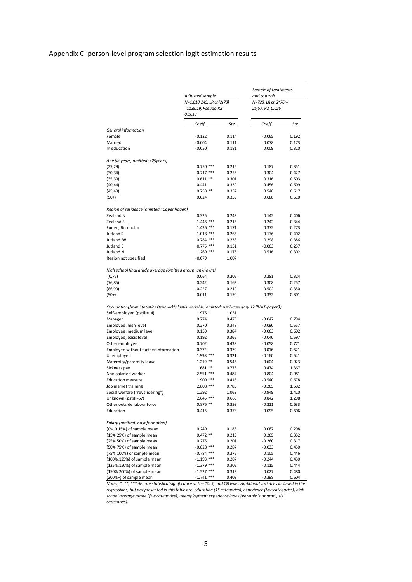# Appendix C: person-level program selection logit estimation results

|                                                                                                    | Adjusted sample<br>N=1,018,245, LR chi2(78)<br>=1129.19, Pseudo R2 =<br>0.1618 |                | Sample of treatments<br>and controls<br>N=728, LR chi2(76)=<br>25,57, R2=0.026 |                |
|----------------------------------------------------------------------------------------------------|--------------------------------------------------------------------------------|----------------|--------------------------------------------------------------------------------|----------------|
|                                                                                                    | Coeff.                                                                         | Ste.           | Coeff.                                                                         | Ste.           |
| General information                                                                                |                                                                                |                |                                                                                |                |
| Female                                                                                             | $-0.122$                                                                       | 0.114          | $-0.065$                                                                       | 0.192          |
| Married<br>In education                                                                            | $-0.004$<br>$-0.050$                                                           | 0.111<br>0.181 | 0.078<br>0.009                                                                 | 0.173<br>0.310 |
|                                                                                                    |                                                                                |                |                                                                                |                |
| Age (in years, omitted: <25years)                                                                  |                                                                                |                |                                                                                |                |
| (25, 29)                                                                                           | $0.750$ ***                                                                    | 0.216          | 0.187                                                                          | 0.351          |
| (30, 34)                                                                                           | $0.717***$                                                                     | 0.256          | 0.304                                                                          | 0.427          |
| (35, 39)<br>(40, 44)                                                                               | $0.611**$<br>0.441                                                             | 0.301<br>0.339 | 0.316<br>0.456                                                                 | 0.503<br>0.609 |
| (45, 49)                                                                                           | $0.758**$                                                                      | 0.352          | 0.548                                                                          | 0.617          |
| $(50+)$                                                                                            | 0.024                                                                          | 0.359          | 0.688                                                                          | 0.610          |
| Region of residence (omitted: Copenhagen)                                                          |                                                                                |                |                                                                                |                |
| Zealand N                                                                                          | 0.325                                                                          | 0.243          | 0.142                                                                          | 0.406          |
| Zealand S                                                                                          | $1.446$ ***                                                                    | 0.216          | 0.242                                                                          | 0.344          |
| Funen, Bornholm                                                                                    | $1.436$ ***                                                                    | 0.171          | 0.372                                                                          | 0.273          |
| Jutland S                                                                                          | $1.018$ ***                                                                    | 0.265          | 0.176                                                                          | 0.402          |
| Jutland W                                                                                          | $0.784$ ***                                                                    | 0.233          | 0.298                                                                          | 0.386          |
| Jutland E                                                                                          | $0.775$ ***                                                                    | 0.151          | $-0.063$                                                                       | 0.237          |
| Jutland N                                                                                          | $1.269$ ***                                                                    | 0.176          | 0.516                                                                          | 0.302          |
| Region not specified                                                                               | $-0.079$                                                                       | 1.007          |                                                                                |                |
| High school final grade average (omitted group: unknown)                                           |                                                                                |                |                                                                                |                |
| (0, 75)                                                                                            | 0.064                                                                          | 0.205          | 0.281                                                                          | 0.324          |
| (76, 85)                                                                                           | 0.242                                                                          | 0.163          | 0.308                                                                          | 0.257          |
| (86, 90)                                                                                           | -0.227                                                                         | 0.210          | 0.502                                                                          | 0.350          |
| $(90+)$                                                                                            | 0.011                                                                          | 0.190          | 0.332                                                                          | 0.301          |
| Occupation(from Statistics Denmark's 'pstill' variable, omitted: pstill-category 12 ('VAT-payer')) |                                                                                |                |                                                                                |                |
| Self-employed (pstill=14)                                                                          | 1.976 *                                                                        | 1.051          |                                                                                |                |
| Manager                                                                                            | 0.774                                                                          | 0.475          | $-0.047$                                                                       | 0.794          |
| Employee, high level                                                                               | 0.270                                                                          | 0.348          | $-0.090$                                                                       | 0.557          |
| Employee, medium level                                                                             | 0.159<br>0.192                                                                 | 0.384          | $-0.063$<br>$-0.040$                                                           | 0.602<br>0.597 |
| Employee, basis level<br>Other employee                                                            | 0.702                                                                          | 0.366<br>0.438 | $-0.058$                                                                       | 0.771          |
| Employee without further information                                                               | 0.372                                                                          | 0.379          | $-0.016$                                                                       | 0.621          |
| Unemployed                                                                                         | 1.998 ***                                                                      | 0.321          | $-0.160$                                                                       | 0.541          |
| Maternity/paternity leave                                                                          | $1.219**$                                                                      | 0.543          | $-0.604$                                                                       | 0.923          |
| Sickness pay                                                                                       | $1.681**$                                                                      | 0.773          | 0.474                                                                          | 1.367          |
| Non-salaried worker                                                                                | $2.551$ ***                                                                    | 0.487          | 0.804                                                                          | 0.981          |
| <b>Education measure</b>                                                                           | 1.909 ***                                                                      | 0.418          | $-0.540$                                                                       | 0.678          |
| Job market training                                                                                | 2.808 ***                                                                      | 0.785          | $-0.265$                                                                       | 1.582          |
| Social welfare ("revalidering")                                                                    | 1.292                                                                          | 1.063          | 0.949                                                                          | 1.410          |
| Unknown (pstill=57)                                                                                | $2.645$ ***                                                                    | 0.663          | 0.842                                                                          | 1.298          |
| Other outside labour force                                                                         | $0.876$ **                                                                     | 0.398          | $-0.311$                                                                       | 0.633          |
| Education                                                                                          | 0.415                                                                          | 0.378          | $-0.095$                                                                       | 0.606          |
| Salary (omitted: no information)                                                                   |                                                                                |                |                                                                                |                |
| (0%,0.15%) of sample mean                                                                          | 0.249                                                                          | 0.183          | 0.087                                                                          | 0.298          |
| (15%,25%) of sample mean                                                                           | $0.472**$                                                                      | 0.219          | 0.265                                                                          | 0.352          |
| (25%,50%) of sample mean                                                                           | 0.275                                                                          | 0.201          | $-0.260$                                                                       | 0.317          |
| (50%,75%) of sample mean                                                                           | $-0.828$ ***                                                                   | 0.287          | $-0.033$                                                                       | 0.450          |
| (75%, 100%) of sample mean                                                                         | $-0.784$ ***                                                                   | 0.275          | 0.105                                                                          | 0.446          |
| (100%, 125%) of sample mean                                                                        | $-1.193$ ***                                                                   | 0.287          | $-0.244$                                                                       | 0.430          |
| (125%, 150%) of sample mean                                                                        | $-1.379$ ***                                                                   | 0.302          | $-0.115$                                                                       | 0.444          |
| (150%, 200%) of sample mean                                                                        | $-1.527$ ***                                                                   | 0.313          | 0.027                                                                          | 0.480          |
| (200%+) of sample mean                                                                             | $-1.741$ ***                                                                   | 0.408          | $-0.398$                                                                       | 0.604          |

*Notes: \*, \*\*, \*\*\* denote statistical significance at the 10, 5, and 1% level. Additional variables included in the regressions, but not presented in this table are: education (15 categories), experience (five categories), high school average grade (five categories), unemployment experience index (variable 'sumgrad', six categories).*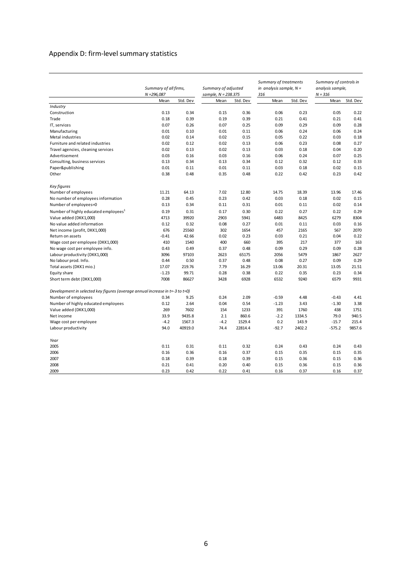# Appendix D: firm-level summary statistics

|                                                                              | $N = 296,087$ | Summary of all firms, |        | Summary of adjusted<br>sample, N = 238.375 |         | Summary of treatments<br>in analysis sample, $N =$<br>316 |          | Summary of controls in<br>analysis sample,<br>$N = 316$ |  |
|------------------------------------------------------------------------------|---------------|-----------------------|--------|--------------------------------------------|---------|-----------------------------------------------------------|----------|---------------------------------------------------------|--|
|                                                                              | Mean          | Std. Dev              | Mean   | Std. Dev                                   | Mean    | Std. Dev                                                  | Mean     | Std. Dev                                                |  |
| Industry                                                                     |               |                       |        |                                            |         |                                                           |          |                                                         |  |
| Construction                                                                 | 0.13          | 0.34                  | 0.15   | 0.36                                       | 0.06    | 0.23                                                      | 0.05     | 0.22                                                    |  |
| Trade                                                                        | 0.18          | 0.39                  | 0.19   | 0.39                                       | 0.21    | 0.41                                                      | 0.21     | 0.41                                                    |  |
| IT, services                                                                 | 0.07          | 0.26                  | 0.07   | 0.25                                       | 0.09    | 0.29                                                      | 0.09     | 0.28                                                    |  |
| Manufacturing                                                                | 0.01          | 0.10                  | 0.01   | 0.11                                       | 0.06    | 0.24                                                      | 0.06     | 0.24                                                    |  |
| Metal industries                                                             | 0.02          | 0.14                  | 0.02   | 0.15                                       | 0.05    | 0.22                                                      | 0.03     | 0.18                                                    |  |
| Furniture and related industries                                             | 0.02          | 0.12                  | 0.02   | 0.13                                       | 0.06    | 0.23                                                      | 0.08     | 0.27                                                    |  |
| Travel agencies, cleaning services                                           | 0.02          | 0.13                  | 0.02   | 0.13                                       | 0.03    | 0.18                                                      | 0.04     | 0.20                                                    |  |
| Advertisement                                                                | 0.03          | 0.16                  | 0.03   | 0.16                                       | 0.06    | 0.24                                                      | 0.07     | 0.25                                                    |  |
| Consulting, business services                                                | 0.13          | 0.34                  | 0.13   | 0.34                                       | 0.12    | 0.32                                                      | 0.12     | 0.33                                                    |  |
| Paper&publishing                                                             | 0.01          | 0.11                  | 0.01   | 0.11                                       | 0.03    | 0.18                                                      | 0.02     | 0.15                                                    |  |
| Other                                                                        | 0.38          | 0.48                  | 0.35   | 0.48                                       | 0.22    | 0.42                                                      | 0.23     | 0.42                                                    |  |
| Key figures                                                                  |               |                       |        |                                            |         |                                                           |          |                                                         |  |
| Number of employees                                                          | 11.21         | 64.13                 | 7.02   | 12.80                                      | 14.75   | 18.39                                                     | 13.96    | 17.46                                                   |  |
| No number of employees information                                           | 0.28          | 0.45                  | 0.23   | 0.42                                       | 0.03    | 0.18                                                      | 0.02     | 0.15                                                    |  |
| Number of employees=0                                                        | 0.13          | 0.34                  | 0.11   | 0.31                                       | 0.01    | 0.11                                                      | 0.02     | 0.14                                                    |  |
| Number of highly educated employees <sup>1</sup>                             | 0.19          | 0.31                  | 0.17   | 0.30                                       | 0.22    | 0.27                                                      | 0.22     | 0.29                                                    |  |
| Value added (DKK1,000)                                                       | 4713          | 39920                 | 2903   | 5941                                       | 6483    | 8425                                                      | 6279     | 8304                                                    |  |
| No value added information                                                   | 0.12          | 0.32                  | 0.08   | 0.27                                       | 0.01    | 0.11                                                      | 0.03     | 0.16                                                    |  |
| Net income (profit, DKK1,000)                                                | 676           | 25560                 | 302    | 1654                                       | 457     | 2165                                                      | 567      | 2070                                                    |  |
| Return on assets                                                             | $-0.41$       | 42.66                 | 0.02   | 0.23                                       | 0.03    | 0.21                                                      | 0.04     | 0.22                                                    |  |
| Wage cost per employee (DKK1,000)                                            | 410           | 1540                  | 400    | 660                                        | 395     | 217                                                       | 377      | 163                                                     |  |
| No wage cost per employee info.                                              | 0.43          | 0.49                  | 0.37   | 0.48                                       | 0.09    | 0.29                                                      | 0.09     | 0.28                                                    |  |
| Labour productivity (DKK1,000)                                               | 3096          | 97103                 | 2623   | 65175                                      | 2056    | 5479                                                      | 1867     | 2627                                                    |  |
| No labour prod. Info.                                                        | 0.44          | 0.50                  | 0.37   | 0.48                                       | 0.08    | 0.27                                                      | 0.09     | 0.29                                                    |  |
| Total assets (DKK1 mio.)                                                     | 17.07         | 219.76                | 7.79   | 16.29                                      | 13.06   | 20.31                                                     | 13.05    | 21.51                                                   |  |
| Equity share                                                                 | $-1.23$       | 99.71                 | 0.28   | 0.38                                       | 0.22    | 0.35                                                      | 0.23     | 0.34                                                    |  |
| Short term debt (DKK1,000)                                                   | 7008          | 86627                 | 3428   | 6928                                       | 6532    | 9240                                                      | 6579     | 9931                                                    |  |
|                                                                              |               |                       |        |                                            |         |                                                           |          |                                                         |  |
| Development in selected key figures (average annual increase in t=-3 to t=0) |               |                       |        |                                            |         |                                                           |          |                                                         |  |
| Number of employees                                                          | 0.34          | 9.25                  | 0.24   | 2.09                                       | $-0.59$ | 4.48                                                      | $-0.43$  | 4.41                                                    |  |
| Number of highly educated employees                                          | 0.12          | 2.64                  | 0.04   | 0.54                                       | $-1.23$ | 3.43                                                      | $-1.30$  | 3.38                                                    |  |
| Value added (DKK1,000)                                                       | 269           | 7602                  | 154    | 1233                                       | 391     | 1760                                                      | 438      | 1751                                                    |  |
| Net income                                                                   | 33.9          | 9435.8                | 2.1    | 860.6                                      | $-2.2$  | 1334.5                                                    | 79.0     | 940.5                                                   |  |
| Wage cost per employee                                                       | $-4.2$        | 1567.3                | $-4.2$ | 1529.4                                     | 0.2     | 143.9                                                     | $-15.7$  | 215.4                                                   |  |
| Labour productivity                                                          | 94.0          | 40919.0               | 74.4   | 22814.4                                    | $-92.7$ | 2402.2                                                    | $-575.2$ | 9857.6                                                  |  |
| Year                                                                         |               |                       |        |                                            |         |                                                           |          |                                                         |  |
| 2005                                                                         | 0.11          | 0.31                  | 0.11   | 0.32                                       | 0.24    | 0.43                                                      | 0.24     | 0.43                                                    |  |
| 2006                                                                         | 0.16          | 0.36                  | 0.16   | 0.37                                       | 0.15    | 0.35                                                      | 0.15     | 0.35                                                    |  |
| 2007                                                                         | 0.18          | 0.39                  | 0.18   | 0.39                                       | 0.15    | 0.36                                                      | 0.15     | 0.36                                                    |  |
| 2008                                                                         | 0.21          | 0.41                  | 0.20   | 0.40                                       | 0.15    | 0.36                                                      | 0.15     | 0.36                                                    |  |
| 2009                                                                         | 0.23          | 0.42                  | 0.22   | 0.41                                       | 0.16    | 0.37                                                      | 0.16     | 0.37                                                    |  |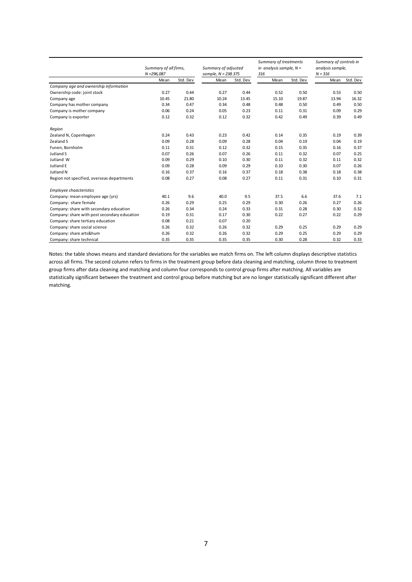|                                              |               |                       |                       |                     | Summary of treatments |                           | Summary of controls in |                  |  |
|----------------------------------------------|---------------|-----------------------|-----------------------|---------------------|-----------------------|---------------------------|------------------------|------------------|--|
|                                              |               | Summary of all firms, |                       | Summary of adjusted |                       | in analysis sample, $N =$ |                        | analysis sample, |  |
|                                              | $N = 296,087$ |                       | sample, $N = 238.375$ |                     | 316                   |                           | $N = 316$              |                  |  |
|                                              | Mean          | Std. Dev              | Mean                  | Std. Dev            | Mean                  | Std. Dev                  | Mean                   | Std. Dev         |  |
| Company age and ownership information        |               |                       |                       |                     |                       |                           |                        |                  |  |
| Ownership code: joint stock                  | 0.27          | 0.44                  | 0.27                  | 0.44                | 0.52                  | 0.50                      | 0.53                   | 0.50             |  |
| Company age                                  | 10.45         | 21.80                 | 10.24                 | 13.45               | 15.10                 | 19.87                     | 13.94                  | 16.32            |  |
| Company has mother company                   | 0.34          | 0.47                  | 0.34                  | 0.48                | 0.48                  | 0.50                      | 0.49                   | 0.50             |  |
| Company is mother company                    | 0.06          | 0.24                  | 0.05                  | 0.23                | 0.11                  | 0.31                      | 0.09                   | 0.29             |  |
| Company is exporter                          | 0.12          | 0.32                  | 0.12                  | 0.32                | 0.42                  | 0.49                      | 0.39                   | 0.49             |  |
| Region                                       |               |                       |                       |                     |                       |                           |                        |                  |  |
| Zealand N, Copenhagen                        | 0.24          | 0.43                  | 0.23                  | 0.42                | 0.14                  | 0.35                      | 0.19                   | 0.39             |  |
| Zealand S                                    | 0.09          | 0.28                  | 0.09                  | 0.28                | 0.04                  | 0.19                      | 0.04                   | 0.19             |  |
| Funen, Bornholm                              | 0.11          | 0.31                  | 0.12                  | 0.32                | 0.15                  | 0.35                      | 0.16                   | 0.37             |  |
| Jutland S                                    | 0.07          | 0.26                  | 0.07                  | 0.26                | 0.11                  | 0.32                      | 0.07                   | 0.25             |  |
| Jutland W                                    | 0.09          | 0.29                  | 0.10                  | 0.30                | 0.11                  | 0.32                      | 0.11                   | 0.32             |  |
| Jutland E                                    | 0.09          | 0.28                  | 0.09                  | 0.29                | 0.10                  | 0.30                      | 0.07                   | 0.26             |  |
| Jutland N                                    | 0.16          | 0.37                  | 0.16                  | 0.37                | 0.18                  | 0.38                      | 0.18                   | 0.38             |  |
| Region not specified, overseas departments   | 0.08          | 0.27                  | 0.08                  | 0.27                | 0.11                  | 0.31                      | 0.10                   | 0.31             |  |
| <b>Employee chaacteristics</b>               |               |                       |                       |                     |                       |                           |                        |                  |  |
| Company: mean employee age (yrs)             | 40.1          | 9.6                   | 40.0                  | 9.5                 | 37.5                  | 6.6                       | 37.6                   | 7.1              |  |
| Company: share female                        | 0.26          | 0.29                  | 0.25                  | 0.29                | 0.30                  | 0.26                      | 0.27                   | 0.26             |  |
| Company: share with secondary education      | 0.26          | 0.34                  | 0.24                  | 0.33                | 0.31                  | 0.28                      | 0.30                   | 0.32             |  |
| Company: share with post secondary education | 0.19          | 0.31                  | 0.17                  | 0.30                | 0.22                  | 0.27                      | 0.22                   | 0.29             |  |
| Company: share tertiary education            | 0.08          | 0.21                  | 0.07                  | 0.20                |                       |                           |                        |                  |  |
| Company: share social science                | 0.26          | 0.32                  | 0.26                  | 0.32                | 0.29                  | 0.25                      | 0.29                   | 0.29             |  |
| Company: share arts&hum                      | 0.26          | 0.32                  | 0.26                  | 0.32                | 0.29                  | 0.25                      | 0.29                   | 0.29             |  |
| Company: share technical                     | 0.35          | 0.35                  | 0.35                  | 0.35                | 0.30                  | 0.28                      | 0.32                   | 0.33             |  |

Notes: the table shows means and standard deviations for the variables we match firms on. The left column displays descriptive statistics across all firms. The second column refers to firms in the treatment group before data cleaning and matching, column three to treatment group firms after data cleaning and matching and column four corresponds to control group firms after matching. All variables are statistically significant between the treatment and control group before matching but are no longer statistically significant different after matching.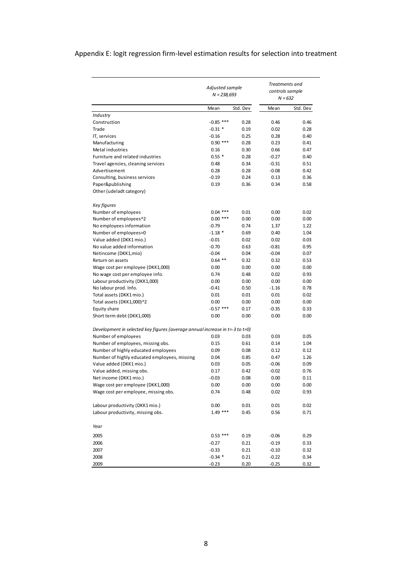# Appendix E: logit regression firm-level estimation results for selection into treatment

|                                                                              | Adjusted sample<br>$N = 238,693$ |              | Treatments and<br>controls sample<br>$N = 632$ |              |
|------------------------------------------------------------------------------|----------------------------------|--------------|------------------------------------------------|--------------|
|                                                                              | Mean                             | Std. Dev     | Mean                                           | Std. Dev     |
| Industry                                                                     |                                  |              |                                                |              |
| Construction                                                                 | $-0.85$ ***                      | 0.28         | 0.46                                           | 0.46         |
| Trade                                                                        | $-0.31$ *                        | 0.19         | 0.02                                           | 0.28         |
| IT, services                                                                 | $-0.16$                          | 0.25         | 0.28                                           | 0.40         |
| Manufacturing                                                                | $0.90$ ***                       | 0.28         | 0.23                                           | 0.41         |
| Metal industries                                                             | 0.16                             | 0.30         | 0.66                                           | 0.47         |
| Furniture and related industries                                             | $0.55*$                          | 0.28         | $-0.27$                                        | 0.40         |
| Travel agencies, cleaning services                                           | 0.48                             | 0.34         | $-0.31$                                        | 0.51         |
| Advertisement                                                                | 0.28                             | 0.28         | $-0.08$                                        | 0.42         |
| Consulting, business services                                                | $-0.19$                          | 0.24         | 0.13                                           | 0.36         |
| Paper&publishing<br>Other (udeladt category)                                 | 0.19                             | 0.36         | 0.34                                           | 0.58         |
| Key figures                                                                  |                                  |              |                                                |              |
| Number of employees                                                          | $0.04$ ***                       | 0.01         | 0.00                                           | 0.02         |
| Number of employees^2                                                        | $0.00$ ***                       | 0.00         | 0.00                                           | 0.00         |
| No employees information                                                     | $-0.79$                          | 0.74         | 1.37                                           | 1.22         |
| Number of employees=0                                                        | $-1.18*$                         | 0.69         | 0.40                                           | 1.04         |
| Value added (DKK1 mio.)                                                      | $-0.01$                          | 0.02         | 0.02                                           | 0.03         |
| No value added information                                                   | $-0.70$                          | 0.63         | $-0.81$                                        | 0.95         |
| Netincome (DKK1,mio)                                                         | $-0.04$                          | 0.04         | $-0.04$                                        | 0.07         |
| Return on assets                                                             | $0.64$ **                        | 0.32         | 0.32                                           | 0.53         |
| Wage cost per employee (DKK1,000)                                            | 0.00                             | 0.00         | 0.00                                           | 0.00         |
| No wage cost per employee info.                                              | 0.74                             | 0.48         | 0.02                                           | 0.93         |
| Labour productivity (DKK1,000)                                               | 0.00                             | 0.00         | 0.00                                           | 0.00         |
| No labour prod. Info.                                                        | $-0.41$                          | 0.50         | $-1.16$                                        | 0.78         |
| Total assets (DKK1 mio.)                                                     | 0.01                             | 0.01         | 0.01                                           | 0.02         |
| Total assets (DKK1,000)^2                                                    | 0.00                             | 0.00         | 0.00                                           | 0.00         |
| Equity share<br>Short term debt (DKK1,000)                                   | $-0.57$ ***<br>0.00              | 0.17<br>0.00 | $-0.35$<br>0.00                                | 0.33<br>0.00 |
|                                                                              |                                  |              |                                                |              |
| Development in selected key figures (average annual increase in t=-3 to t=0) |                                  |              |                                                |              |
| Number of employees                                                          | 0.03                             | 0.03         | 0.03                                           | 0.05         |
| Number of employees, missing obs.                                            | 0.15                             | 0.61         | 0.14                                           | 1.04         |
| Number of highly educated employees                                          | 0.09                             | 0.08         | 0.12                                           | 0.12         |
| Number of highly educated employees, missing                                 | 0.04                             | 0.85         | 0.47                                           | 1.26         |
| Value added (DKK1 mio.)                                                      | 0.03                             | 0.05         | $-0.06$                                        | 0.09         |
| Value added, missing obs.                                                    | 0.17                             | 0.42         | $-0.02$                                        | 0.76         |
| Net income (DKK1 mio.)                                                       | $-0.03$                          | 0.08         | 0.00                                           | 0.11         |
| Wage cost per employee (DKK1,000)<br>Wage cost per employee, missing obs.    | 0.00<br>0.74                     | 0.00<br>0.48 | 0.00<br>0.02                                   | 0.00<br>0.93 |
|                                                                              |                                  |              |                                                |              |
| Labour productivity (DKK1 mio.)                                              | 0.00                             | 0.01         | 0.01                                           | 0.02         |
| Labour productivity, missing obs.                                            | $1.49$ ***                       | 0.45         | 0.56                                           | 0.71         |
| Year                                                                         |                                  |              |                                                |              |
| 2005                                                                         | $0.53$ ***                       | 0.19         | $-0.06$                                        | 0.29         |
| 2006                                                                         | $-0.27$                          | 0.21         | $-0.19$                                        | 0.33         |
| 2007                                                                         | $-0.33$                          | 0.21         | $-0.10$                                        | 0.32         |
| 2008                                                                         | $-0.34$ *                        | 0.21         | $-0.22$                                        | 0.34         |
| 2009                                                                         | $-0.23$                          | 0.20         | $-0.25$                                        | 0.32         |